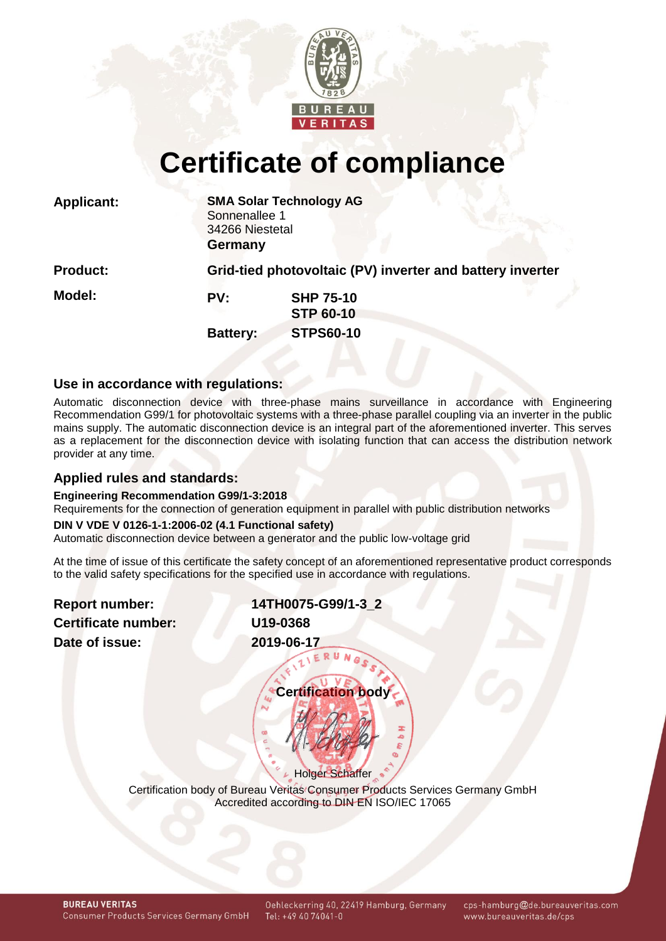

# **Certificate of compliance**

| <b>Applicant:</b> | Sonnenallee 1<br>34266 Niestetal<br><b>Germany</b> | <b>SMA Solar Technology AG</b>                            |
|-------------------|----------------------------------------------------|-----------------------------------------------------------|
| <b>Product:</b>   |                                                    | Grid-tied photovoltaic (PV) inverter and battery inverter |
| <b>Model:</b>     | PV:                                                | <b>SHP 75-10</b><br><b>STP 60-10</b>                      |
|                   | <b>Battery:</b>                                    | <b>STPS60-10</b>                                          |

# **Use in accordance with regulations:**

Automatic disconnection device with three-phase mains surveillance in accordance with Engineering Recommendation G99/1 for photovoltaic systems with a three-phase parallel coupling via an inverter in the public mains supply. The automatic disconnection device is an integral part of the aforementioned inverter. This serves as a replacement for the disconnection device with isolating function that can access the distribution network provider at any time.

# **Applied rules and standards:**

#### **Engineering Recommendation G99/1-3:2018**

Requirements for the connection of generation equipment in parallel with public distribution networks

#### **DIN V VDE V 0126-1-1:2006-02 (4.1 Functional safety)**

Automatic disconnection device between a generator and the public low-voltage grid

At the time of issue of this certificate the safety concept of an aforementioned representative product corresponds to the valid safety specifications for the specified use in accordance with regulations.

**Report number: Certificate number: Date of issue:** 

<span id="page-0-1"></span><span id="page-0-0"></span>

| 14TH0075-G99/1-3 2 |  |
|--------------------|--|
| U19-0368           |  |
| 2019-06-17         |  |
| ERUNG              |  |

| <b>Certification body</b> |  |
|---------------------------|--|
|                           |  |
|                           |  |
| Holger Schaffer           |  |

Certification body of Bureau Veritas Consumer Products Services Germany GmbH Accredited according to DIN EN ISO/IEC 17065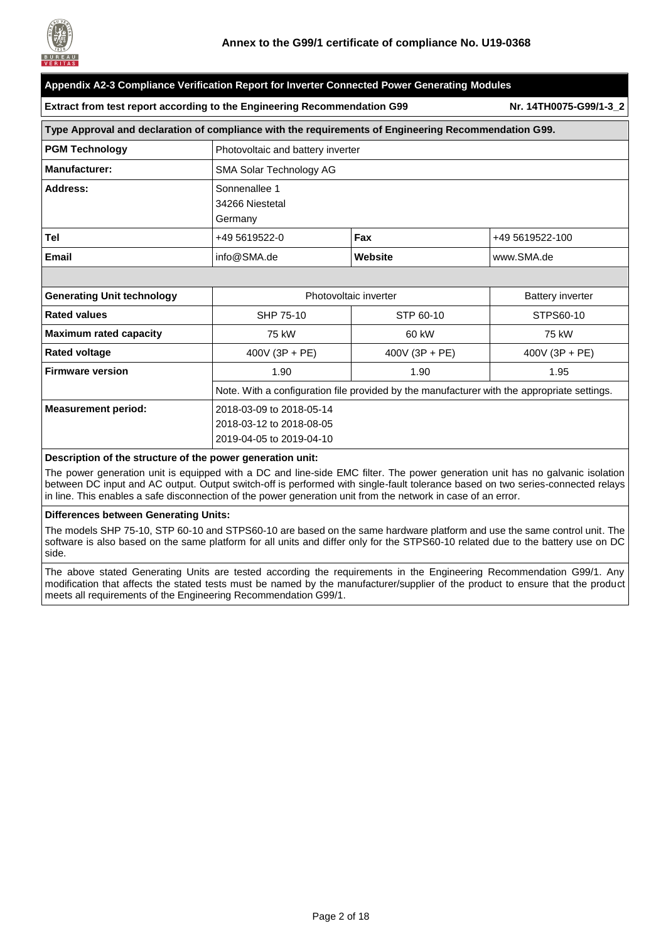

| Appendix A2-3 Compliance Verification Report for Inverter Connected Power Generating Modules         |                                                      |                                                                                             |                         |  |  |  |  |
|------------------------------------------------------------------------------------------------------|------------------------------------------------------|---------------------------------------------------------------------------------------------|-------------------------|--|--|--|--|
| Extract from test report according to the Engineering Recommendation G99                             |                                                      |                                                                                             | Nr. 14TH0075-G99/1-3_2  |  |  |  |  |
| Type Approval and declaration of compliance with the requirements of Engineering Recommendation G99. |                                                      |                                                                                             |                         |  |  |  |  |
| <b>PGM Technology</b>                                                                                | Photovoltaic and battery inverter                    |                                                                                             |                         |  |  |  |  |
| <b>Manufacturer:</b>                                                                                 | <b>SMA Solar Technology AG</b>                       |                                                                                             |                         |  |  |  |  |
| Address:                                                                                             | Sonnenallee 1<br>34266 Niestetal<br>Germany          |                                                                                             |                         |  |  |  |  |
| Tel                                                                                                  | +49 5619522-0                                        | Fax                                                                                         | +49 5619522-100         |  |  |  |  |
| <b>Email</b>                                                                                         | info@SMA.de                                          | Website                                                                                     | www.SMA.de              |  |  |  |  |
|                                                                                                      |                                                      |                                                                                             |                         |  |  |  |  |
| <b>Generating Unit technology</b>                                                                    |                                                      | Photovoltaic inverter                                                                       | <b>Battery inverter</b> |  |  |  |  |
| <b>Rated values</b>                                                                                  | SHP 75-10                                            | STP 60-10                                                                                   | STPS60-10               |  |  |  |  |
| <b>Maximum rated capacity</b>                                                                        | 75 kW                                                | 60 kW                                                                                       | 75 kW                   |  |  |  |  |
| <b>Rated voltage</b>                                                                                 | $400V (3P + PE)$                                     | 400V (3P + PE)                                                                              | 400V (3P + PE)          |  |  |  |  |
| <b>Firmware version</b>                                                                              | 1.90                                                 | 1.90                                                                                        | 1.95                    |  |  |  |  |
|                                                                                                      |                                                      | Note. With a configuration file provided by the manufacturer with the appropriate settings. |                         |  |  |  |  |
| <b>Measurement period:</b>                                                                           | 2018-03-09 to 2018-05-14<br>2018-03-12 to 2018-08-05 |                                                                                             |                         |  |  |  |  |
|                                                                                                      | 2019-04-05 to 2019-04-10                             |                                                                                             |                         |  |  |  |  |

#### **Description of the structure of the power generation unit:**

The power generation unit is equipped with a DC and line-side EMC filter. The power generation unit has no galvanic isolation between DC input and AC output. Output switch-off is performed with single-fault tolerance based on two series-connected relays in line. This enables a safe disconnection of the power generation unit from the network in case of an error.

#### **Differences between Generating Units:**

The models SHP 75-10, STP 60-10 and STPS60-10 are based on the same hardware platform and use the same control unit. The software is also based on the same platform for all units and differ only for the STPS60-10 related due to the battery use on DC side.

The above stated Generating Units are tested according the requirements in the Engineering Recommendation G99/1. Any modification that affects the stated tests must be named by the manufacturer/supplier of the product to ensure that the product meets all requirements of the Engineering Recommendation G99/1.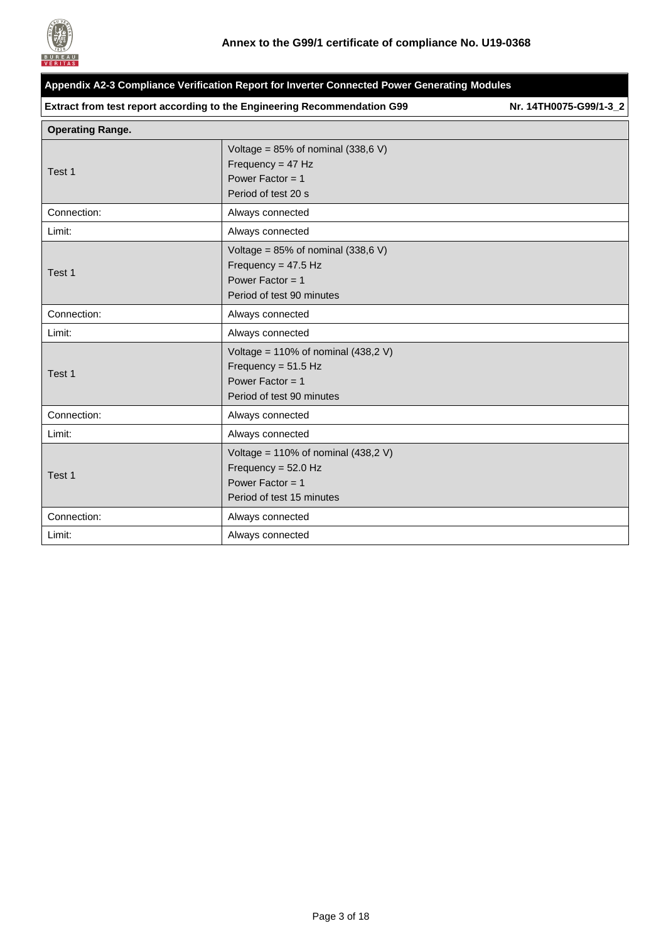

| Appendix A2-3 Compliance Verification Report for Inverter Connected Power Generating Modules |                                                                                                                    |                        |  |  |
|----------------------------------------------------------------------------------------------|--------------------------------------------------------------------------------------------------------------------|------------------------|--|--|
|                                                                                              | Extract from test report according to the Engineering Recommendation G99                                           | Nr. 14TH0075-G99/1-3_2 |  |  |
| <b>Operating Range.</b>                                                                      |                                                                                                                    |                        |  |  |
| Test 1                                                                                       | Voltage = $85\%$ of nominal (338,6 V)<br>Frequency = $47$ Hz<br>Power Factor = $1$<br>Period of test 20 s          |                        |  |  |
| Connection:                                                                                  | Always connected                                                                                                   |                        |  |  |
| Limit:                                                                                       | Always connected                                                                                                   |                        |  |  |
| Test 1                                                                                       | Voltage = $85\%$ of nominal (338,6 V)<br>Frequency = $47.5$ Hz<br>Power Factor = $1$<br>Period of test 90 minutes  |                        |  |  |
| Connection:                                                                                  | Always connected                                                                                                   |                        |  |  |
| Limit:                                                                                       | Always connected                                                                                                   |                        |  |  |
| Test 1                                                                                       | Voltage = $110\%$ of nominal (438,2 V)<br>Frequency = $51.5$ Hz<br>Power Factor = $1$<br>Period of test 90 minutes |                        |  |  |
| Connection:                                                                                  | Always connected                                                                                                   |                        |  |  |
| Limit:                                                                                       | Always connected                                                                                                   |                        |  |  |
| Test 1                                                                                       | Voltage = $110\%$ of nominal (438,2 V)<br>Frequency = $52.0$ Hz<br>Power Factor = $1$<br>Period of test 15 minutes |                        |  |  |
| Connection:                                                                                  | Always connected                                                                                                   |                        |  |  |
| Limit:                                                                                       | Always connected                                                                                                   |                        |  |  |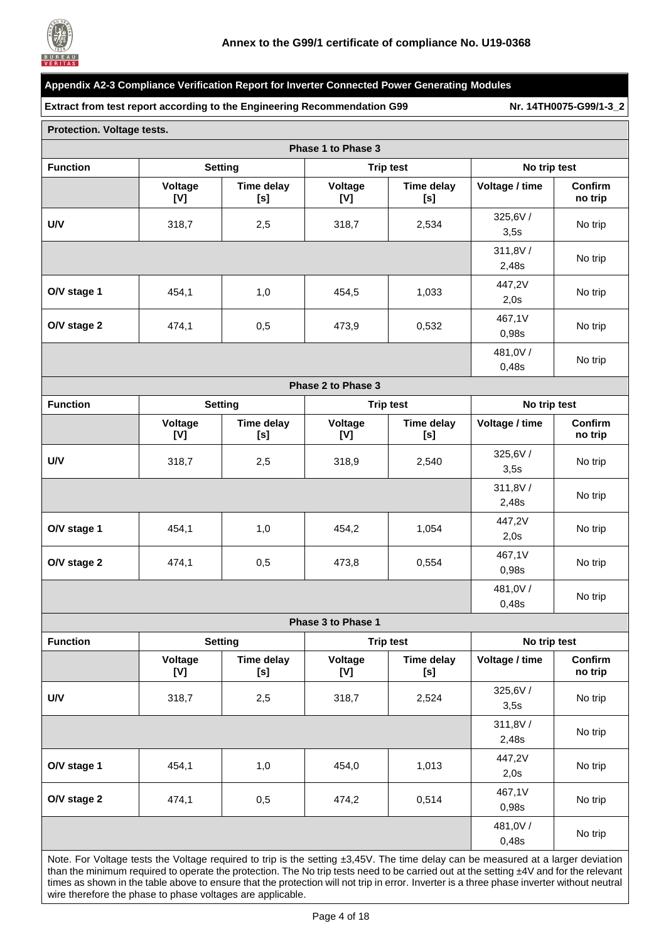

|                            |                | Extract from test report according to the Engineering Recommendation G99 |                    |                          |                  | Nr. 14TH0075-G99/1-3_2 |
|----------------------------|----------------|--------------------------------------------------------------------------|--------------------|--------------------------|------------------|------------------------|
| Protection. Voltage tests. |                |                                                                          |                    |                          |                  |                        |
|                            |                |                                                                          | Phase 1 to Phase 3 |                          |                  |                        |
| <b>Function</b>            |                | <b>Setting</b>                                                           |                    | <b>Trip test</b>         | No trip test     |                        |
|                            | Voltage<br>[V] | Time delay<br>[s]                                                        | Voltage<br>[V]     | <b>Time delay</b><br>[s] | Voltage / time   | Confirm<br>no trip     |
| <b>U/V</b>                 | 318,7          | 2,5                                                                      | 318,7              | 2,534                    | 325,6V/<br>3,5s  | No trip                |
|                            |                |                                                                          |                    |                          | 311,8V/<br>2,48s | No trip                |
| O/V stage 1                | 454,1          | 1,0                                                                      | 454,5              | 1,033                    | 447,2V<br>2,0s   | No trip                |
| O/V stage 2                | 474,1          | 0,5                                                                      | 473,9              | 0,532                    | 467,1V<br>0,98s  | No trip                |
|                            |                |                                                                          |                    |                          | 481,0V/<br>0,48s | No trip                |
|                            |                |                                                                          | Phase 2 to Phase 3 |                          |                  |                        |
| <b>Function</b>            |                | <b>Setting</b>                                                           |                    | <b>Trip test</b>         | No trip test     |                        |
|                            | Voltage<br>[V] | <b>Time delay</b><br>[s]                                                 | Voltage<br>[V]     | <b>Time delay</b><br>[s] | Voltage / time   | Confirm<br>no trip     |
| U/V                        | 318,7          | 2,5                                                                      | 318,9              | 2,540                    | 325,6V/<br>3,5s  | No trip                |
|                            |                |                                                                          |                    |                          | 311,8V/<br>2,48s | No trip                |
| O/V stage 1                | 454,1          | 1,0                                                                      | 454,2              | 1,054                    | 447,2V<br>2,0s   | No trip                |
| O/V stage 2                | 474,1          | 0,5                                                                      | 473,8              | 0,554                    | 467,1V<br>0,98s  | No trip                |
|                            |                |                                                                          |                    |                          | 481,0V/<br>0,48s | No trip                |
|                            |                |                                                                          | Phase 3 to Phase 1 |                          |                  |                        |
| <b>Function</b>            |                | <b>Setting</b>                                                           |                    | <b>Trip test</b>         | No trip test     |                        |
|                            | Voltage<br>[V] | Time delay<br>[s]                                                        | Voltage<br>[V]     | Time delay<br>[s]        | Voltage / time   | Confirm<br>no trip     |
| U/V                        | 318,7          | 2,5                                                                      | 318,7              | 2,524                    | 325,6V/<br>3,5s  | No trip                |
|                            |                |                                                                          |                    |                          | 311,8V/<br>2,48s | No trip                |
| O/V stage 1                | 454,1          | 1,0                                                                      | 454,0              | 1,013                    | 447,2V<br>2,0s   | No trip                |
| O/V stage 2                | 474,1          | 0,5                                                                      | 474,2              | 0,514                    | 467,1V<br>0,98s  | No trip                |
|                            |                |                                                                          |                    |                          | 481,0V/<br>0,48s | No trip                |

Note. For Voltage tests the Voltage required to trip is the setting ±3,45V. The time delay can be measured at a larger deviation than the minimum required to operate the protection. The No trip tests need to be carried out at the setting ±4V and for the relevant times as shown in the table above to ensure that the protection will not trip in error. Inverter is a three phase inverter without neutral wire therefore the phase to phase voltages are applicable.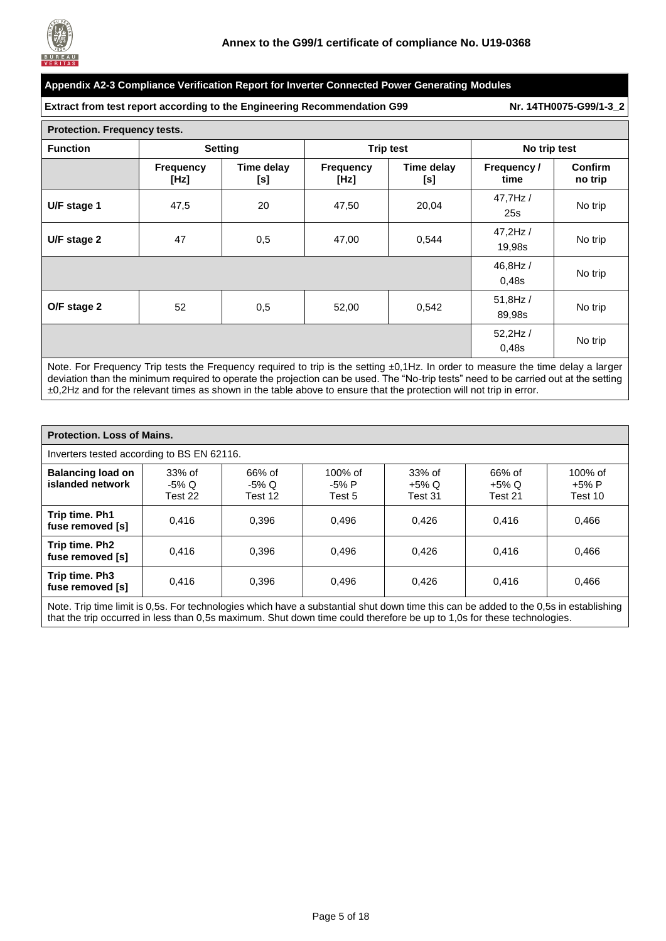

**Extract from test report according to the Engineering Recommendation G99 Nr. [14TH0075-G99/1-3\\_2](#page-0-1)**

| Protection. Frequency tests. |                          |                   |                                               |                  |                     |                    |  |  |
|------------------------------|--------------------------|-------------------|-----------------------------------------------|------------------|---------------------|--------------------|--|--|
| <b>Function</b>              | <b>Setting</b>           |                   |                                               | <b>Trip test</b> | No trip test        |                    |  |  |
|                              | <b>Frequency</b><br>[Hz] | Time delay<br>[s] | Time delay<br><b>Frequency</b><br>[Hz]<br>[s] |                  | Frequency /<br>time | Confirm<br>no trip |  |  |
| U/F stage 1                  | 47,5                     | 20                | 47,50                                         | 20,04            | 47,7Hz /<br>25s     | No trip            |  |  |
| U/F stage 2                  | 47                       | 0,5               | 0,544<br>47,00                                |                  | 47,2Hz /<br>19,98s  | No trip            |  |  |
|                              | 46,8Hz /<br>0,48s        | No trip           |                                               |                  |                     |                    |  |  |
| O/F stage 2                  | 52                       | 0,5               | 52,00                                         | 0,542            | 51,8Hz /<br>89,98s  | No trip            |  |  |
|                              |                          |                   |                                               |                  | 52,2Hz /<br>0,48s   | No trip            |  |  |

Note. For Frequency Trip tests the Frequency required to trip is the setting ±0,1Hz. In order to measure the time delay a larger deviation than the minimum required to operate the projection can be used. The "No-trip tests" need to be carried out at the setting ±0,2Hz and for the relevant times as shown in the table above to ensure that the protection will not trip in error.

| <b>Protection. Loss of Mains.</b>                                                                                                    |                            |                            |                               |                               |                            |                             |  |  |
|--------------------------------------------------------------------------------------------------------------------------------------|----------------------------|----------------------------|-------------------------------|-------------------------------|----------------------------|-----------------------------|--|--|
| Inverters tested according to BS EN 62116.                                                                                           |                            |                            |                               |                               |                            |                             |  |  |
| <b>Balancing load on</b><br>islanded network                                                                                         | 33% of<br>-5% Q<br>Test 22 | 66% of<br>-5% Q<br>Test 12 | $100\%$ of<br>-5% P<br>Test 5 | 33% of<br>$+5\%$ Q<br>Test 31 | 66% of<br>+5% Q<br>Test 21 | 100% of<br>+5% P<br>Test 10 |  |  |
| Trip time. Ph1<br>fuse removed [s]                                                                                                   | 0.416                      | 0.396                      | 0.496                         | 0.426                         | 0.416                      | 0.466                       |  |  |
| Trip time. Ph2<br>fuse removed [s]                                                                                                   | 0.416                      | 0.396                      | 0.496                         | 0.426                         | 0.416                      | 0,466                       |  |  |
| Trip time. Ph3<br>fuse removed [s]                                                                                                   | 0.416                      | 0.396                      | 0.496                         | 0.426                         | 0.416                      | 0.466                       |  |  |
| Note Trip time limit is 0.5s. For technologies which have a substantial shut down time this can be added to the 0.5s in establishing |                            |                            |                               |                               |                            |                             |  |  |

lote. Trip time limit is 0,5s. For technologies which have a substantial shut down time this can be added to the 0,5s in establishing that the trip occurred in less than 0,5s maximum. Shut down time could therefore be up to 1,0s for these technologies.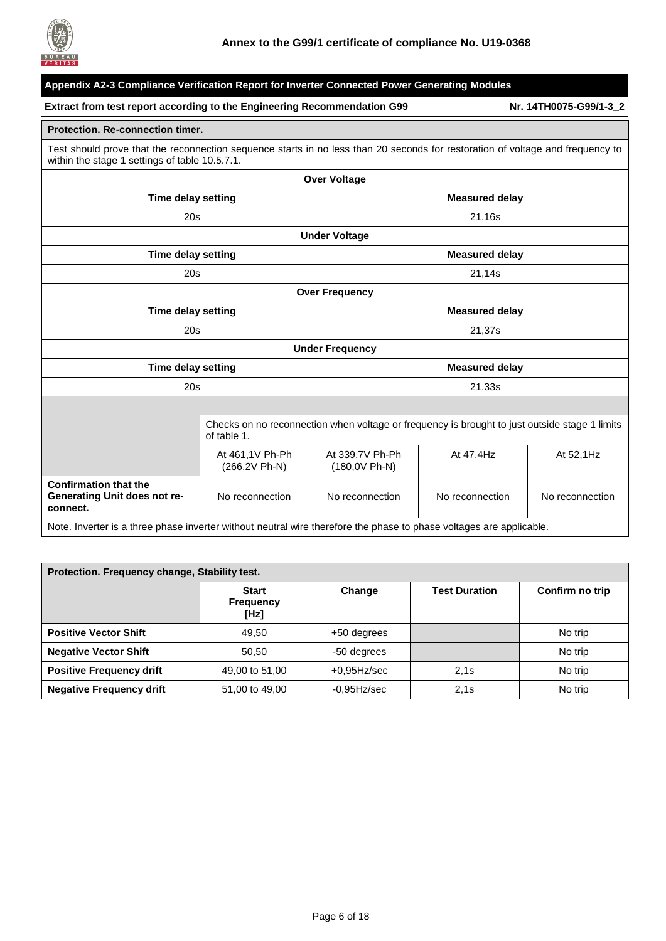

| Appendix A2-3 Compliance Verification Report for Inverter Connected Power Generating Modules                        |                                                                                                                                                                                  |                                    |                       |                                                                                               |                        |  |  |
|---------------------------------------------------------------------------------------------------------------------|----------------------------------------------------------------------------------------------------------------------------------------------------------------------------------|------------------------------------|-----------------------|-----------------------------------------------------------------------------------------------|------------------------|--|--|
| Extract from test report according to the Engineering Recommendation G99                                            |                                                                                                                                                                                  |                                    |                       |                                                                                               | Nr. 14TH0075-G99/1-3_2 |  |  |
| <b>Protection. Re-connection timer.</b>                                                                             |                                                                                                                                                                                  |                                    |                       |                                                                                               |                        |  |  |
|                                                                                                                     | Test should prove that the reconnection sequence starts in no less than 20 seconds for restoration of voltage and frequency to<br>within the stage 1 settings of table 10.5.7.1. |                                    |                       |                                                                                               |                        |  |  |
|                                                                                                                     |                                                                                                                                                                                  | <b>Over Voltage</b>                |                       |                                                                                               |                        |  |  |
| <b>Time delay setting</b>                                                                                           |                                                                                                                                                                                  |                                    |                       | <b>Measured delay</b>                                                                         |                        |  |  |
| 20s                                                                                                                 |                                                                                                                                                                                  |                                    |                       | 21,16s                                                                                        |                        |  |  |
|                                                                                                                     |                                                                                                                                                                                  | <b>Under Voltage</b>               |                       |                                                                                               |                        |  |  |
| <b>Time delay setting</b><br><b>Measured delay</b>                                                                  |                                                                                                                                                                                  |                                    |                       |                                                                                               |                        |  |  |
| 20s                                                                                                                 |                                                                                                                                                                                  |                                    |                       | 21,14s                                                                                        |                        |  |  |
|                                                                                                                     |                                                                                                                                                                                  | <b>Over Frequency</b>              |                       |                                                                                               |                        |  |  |
| <b>Time delay setting</b>                                                                                           |                                                                                                                                                                                  |                                    | <b>Measured delay</b> |                                                                                               |                        |  |  |
| 20s                                                                                                                 |                                                                                                                                                                                  |                                    | 21,37s                |                                                                                               |                        |  |  |
|                                                                                                                     |                                                                                                                                                                                  | <b>Under Frequency</b>             |                       |                                                                                               |                        |  |  |
| <b>Time delay setting</b>                                                                                           |                                                                                                                                                                                  |                                    |                       | <b>Measured delay</b>                                                                         |                        |  |  |
| 20s                                                                                                                 |                                                                                                                                                                                  |                                    |                       | 21,33s                                                                                        |                        |  |  |
|                                                                                                                     |                                                                                                                                                                                  |                                    |                       |                                                                                               |                        |  |  |
|                                                                                                                     | of table 1.                                                                                                                                                                      |                                    |                       | Checks on no reconnection when voltage or frequency is brought to just outside stage 1 limits |                        |  |  |
|                                                                                                                     | At 461,1V Ph-Ph<br>(266,2V Ph-N)                                                                                                                                                 | At 339,7V Ph-Ph<br>(180,0V Ph-N)   |                       | At 47,4Hz                                                                                     | At 52,1Hz              |  |  |
| <b>Confirmation that the</b><br>Generating Unit does not re-<br>connect.                                            | No reconnection                                                                                                                                                                  | No reconnection<br>No reconnection |                       | No reconnection                                                                               |                        |  |  |
| Note. Inverter is a three phase inverter without neutral wire therefore the phase to phase voltages are applicable. |                                                                                                                                                                                  |                                    |                       |                                                                                               |                        |  |  |

| Protection. Frequency change, Stability test. |                                          |                |                      |                 |  |  |  |  |
|-----------------------------------------------|------------------------------------------|----------------|----------------------|-----------------|--|--|--|--|
|                                               | <b>Start</b><br><b>Frequency</b><br>[Hz] | Change         | <b>Test Duration</b> | Confirm no trip |  |  |  |  |
| <b>Positive Vector Shift</b>                  | 49.50                                    | +50 degrees    |                      | No trip         |  |  |  |  |
| <b>Negative Vector Shift</b>                  | 50.50                                    | -50 degrees    |                      | No trip         |  |  |  |  |
| <b>Positive Frequency drift</b>               | 49,00 to 51,00                           | $+0.95$ Hz/sec | 2.1s                 | No trip         |  |  |  |  |
| <b>Negative Frequency drift</b>               | 51,00 to 49,00                           | $-0.95$ Hz/sec | 2.1s                 | No trip         |  |  |  |  |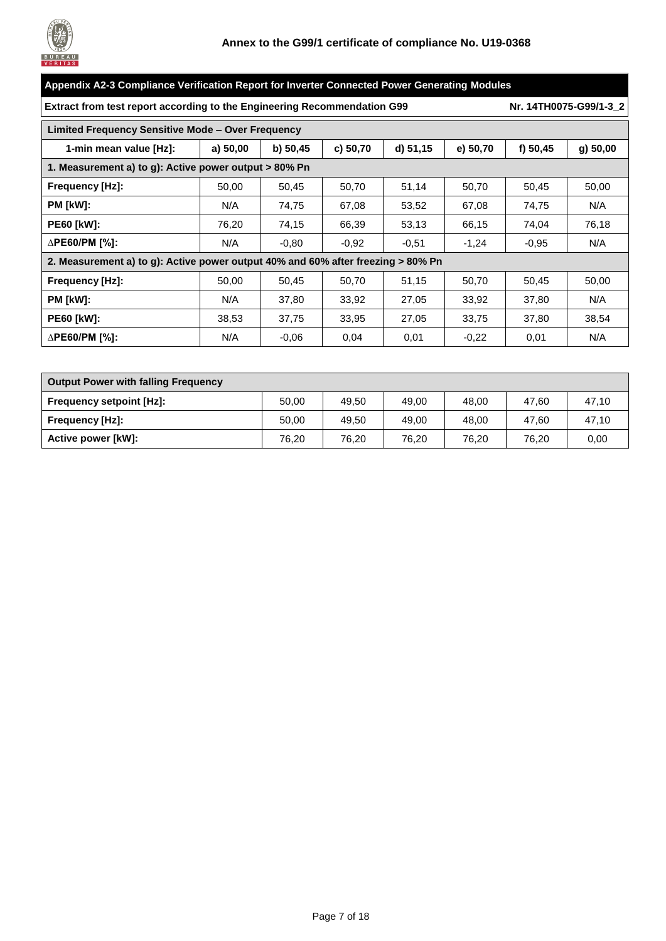

| Appendix A2-3 Compliance Verification Report for Inverter Connected Power Generating Modules |          |          |          |          |          |            |                        |  |
|----------------------------------------------------------------------------------------------|----------|----------|----------|----------|----------|------------|------------------------|--|
| Extract from test report according to the Engineering Recommendation G99                     |          |          |          |          |          |            | Nr. 14TH0075-G99/1-3 2 |  |
| <b>Limited Frequency Sensitive Mode - Over Frequency</b>                                     |          |          |          |          |          |            |                        |  |
| 1-min mean value [Hz]:                                                                       | a) 50,00 | b) 50,45 | c) 50,70 | d) 51,15 | e) 50,70 | f) $50,45$ | g) 50,00               |  |
| 1. Measurement a) to g): Active power output > 80% Pn                                        |          |          |          |          |          |            |                        |  |
| <b>Frequency [Hz]:</b>                                                                       | 50,00    | 50,45    | 50,70    | 51,14    | 50,70    | 50,45      | 50,00                  |  |
| <b>PM [kW]:</b>                                                                              | N/A      | 74,75    | 67,08    | 53,52    | 67,08    | 74,75      | N/A                    |  |
| <b>PE60 [kW]:</b>                                                                            | 76,20    | 74,15    | 66,39    | 53,13    | 66,15    | 74,04      | 76,18                  |  |
| ∆PE60/PM [%]:                                                                                | N/A      | $-0.80$  | $-0.92$  | $-0.51$  | $-1,24$  | $-0,95$    | N/A                    |  |
| 2. Measurement a) to g): Active power output 40% and 60% after freezing > 80% Pn             |          |          |          |          |          |            |                        |  |
| Frequency [Hz]:                                                                              | 50,00    | 50,45    | 50,70    | 51,15    | 50,70    | 50,45      | 50,00                  |  |
| PM [kW]:                                                                                     | N/A      | 37,80    | 33,92    | 27,05    | 33,92    | 37,80      | N/A                    |  |
| <b>PE60 [kW]:</b>                                                                            | 38,53    | 37,75    | 33,95    | 27,05    | 33,75    | 37,80      | 38,54                  |  |
| $\triangle$ PE60/PM [%]:                                                                     | N/A      | $-0,06$  | 0,04     | 0,01     | $-0,22$  | 0,01       | N/A                    |  |

| <b>Output Power with falling Frequency</b> |       |       |       |       |       |       |  |
|--------------------------------------------|-------|-------|-------|-------|-------|-------|--|
| <b>Frequency setpoint [Hz]:</b>            | 50.00 | 49.50 | 49.00 | 48.00 | 47.60 | 47.10 |  |
| Frequency [Hz]:                            | 50.00 | 49.50 | 49.00 | 48.00 | 47.60 | 47.10 |  |
| Active power [kW]:                         | 76,20 | 76.20 | 76.20 | 76.20 | 76.20 | 0,00  |  |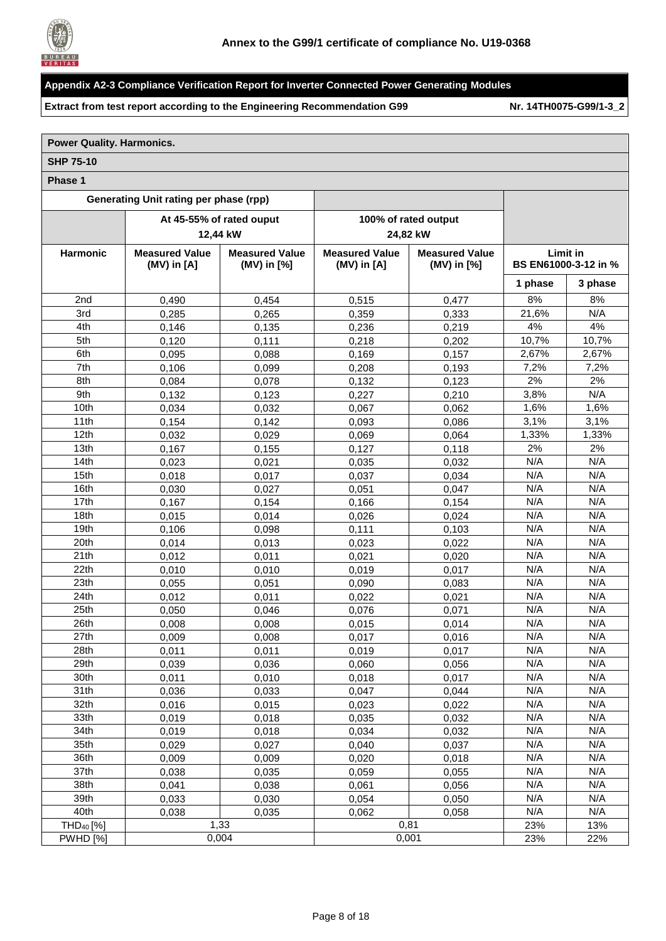

**Extract from test report according to the Engineering Recommendation G99 Nr. [14TH0075-G99/1-3\\_2](#page-0-1)**

#### **Power Quality. Harmonics. SHP 75-10 Phase 1 Generating Unit rating per phase (rpp) At 45-55% of rated ouput 12,44 kW 100% of rated output 24,82 kW Harmonic Measured Value (MV) in [A] Measured Value (MV) in [%] Measured Value (MV) in [A] Measured Value (MV) in [%] Limit in BS EN61000-3-12 in % 1 phase 3 phase** 2nd 0,490 0,454 0,515 0,477 8% 8% 3rd 0,285 0,265 0,359 0,333 21,6% N/A 4th | 0,146 | 0,135 | 0,236 | 0,219 | 4% | 4% 5th 0,120 0,111 0,218 0,202 10,7% 10,7% 6th 0,095 0,088 0,169 0,157 2,67% 2,67% 7th | 0,106 | 0,099 | 0,208 | 0,193 | 7,2% | 7,2% 8th 0,084 0,078 0,132 0,123 2% 2% 9th 0,132 0,123 0,227 0,210 3,8% N/A 10th 0,034 0,032 0,067 0,062 1,6% 1,6% 11th | 0,154 | 0,142 | 0,093 | 0,086 | 3,1% | 3,1% 12th 0,032 0,029 0,069 0,064 1,33% 1,33% 13th 0,167 0,155 0,127 0,118 2% 2% 14th 0,023 0,021 0,035 0,032 N/A N/A 15th 0,018 0,017 0,037 0,034 N/A N/A 16th 0,030 0,027 0,051 0,047 N/A N/A 17th | 0,167 | 0,154 | 0,166 | 0,154 | N/A | N/A 18th 0,015 0,014 0,026 0,024 N/A N/A 19th | 0,106 | 0,098 | 0,111 | 0,103 | N/A | N/A 20th 0,014 0,013 0,023 0,022 N/A N/A 21th 0,012 0,011 0,021 0,020 N/A N/A 22th 0,010 0,010 0,019 0,017 N/A N/A 23th 0,055 0,051 0,090 0,083 N/A N/A 24th 0,012 0,011 0,022 0,021 N/A N/A 25th 0,050 0,046 0,076 0,071 N/A N/A 26th | 0,008 | 0,008 | 0,015 | 0,014 | N/A | N/A 27th | 0,009 | 0,008 | 0,017 | 0,016 | N/A | N/A 28th 0,011 0,011 0,019 0,017 N/A N/A 29th | 0,039 | 0,036 | 0,060 | 0,056 | N/A | N/A 30th 0,011 0,010 0,018 0,017 N/A N/A 31th | 0,036 | 0,033 | 0,047 | 0,044 | N/A | N/A 32th 0,016 0,015 0,023 0,022 N/A N/A 33th 0,019 0,018 0,035 0,032 N/A N/A 34th 0,019 0,018 0,034 0,032 N/A N/A 35th 0,029 0,027 0,040 0,037 N/A N/A 36th | 0,009 | 0,009 | 0,020 | 0,018 | N/A | N/A 37th | 0,038 | 0,035 | 0,059 | 0,055 | N/A | N/A

38th | 0,041 | 0,038 | 0,061 | 0,056 | N/A | N/A 39th | 0,033 | 0,030 | 0,054 | 0,050 | N/A | N/A 40th 0,038 0,035 0,062 0,058 N/A N/A THD<sub>40</sub> [%] 1,33 0,81 23% 13% PWHD [%] 0,004 0,001 23% 22%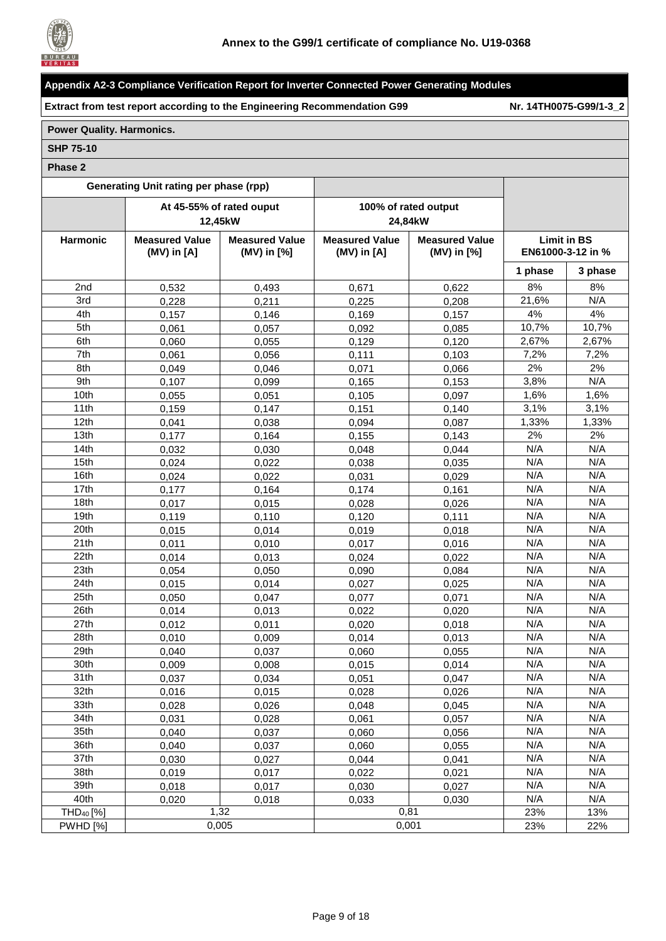

**Extract from test report according to the Engineering Recommendation G99 Nr. [14TH0075-G99/1-3\\_2](#page-0-1)**

## **Power Quality. Harmonics.**

#### **SHP 75-10**

| Generating Unit rating per phase (rpp) |                                          |                                      |                                          |                                      |                                         |         |
|----------------------------------------|------------------------------------------|--------------------------------------|------------------------------------------|--------------------------------------|-----------------------------------------|---------|
|                                        |                                          | At 45-55% of rated ouput<br>12,45kW  |                                          | 100% of rated output<br>24,84kW      |                                         |         |
| Harmonic                               | <b>Measured Value</b><br>$(MV)$ in $[A]$ | <b>Measured Value</b><br>(MV) in [%] | <b>Measured Value</b><br>$(MV)$ in $[A]$ | <b>Measured Value</b><br>(MV) in [%] | <b>Limit in BS</b><br>EN61000-3-12 in % |         |
|                                        |                                          |                                      |                                          |                                      | 1 phase                                 | 3 phase |
| 2nd                                    | 0,532                                    | 0,493                                | 0,671                                    | 0,622                                | 8%                                      | 8%      |
| 3rd                                    | 0,228                                    | 0,211                                | 0,225                                    | 0,208                                | 21,6%                                   | N/A     |
| 4th                                    | 0,157                                    | 0,146                                | 0,169                                    | 0,157                                | 4%                                      | 4%      |
| 5th                                    | 0,061                                    | 0,057                                | 0,092                                    | 0,085                                | 10,7%                                   | 10,7%   |
| 6th                                    | 0,060                                    | 0,055                                | 0,129                                    | 0,120                                | 2,67%                                   | 2,67%   |
| 7th                                    | 0,061                                    | 0,056                                | 0,111                                    | 0,103                                | 7,2%                                    | 7,2%    |
| 8th                                    | 0,049                                    | 0,046                                | 0,071                                    | 0,066                                | 2%                                      | 2%      |
| 9th                                    | 0,107                                    | 0,099                                | 0,165                                    | 0,153                                | 3,8%                                    | N/A     |
| 10th                                   | 0,055                                    | 0,051                                | 0,105                                    | 0,097                                | 1,6%                                    | 1,6%    |
| 11th                                   | 0,159                                    | 0,147                                | 0,151                                    | 0,140                                | 3,1%                                    | 3,1%    |
| 12th                                   | 0,041                                    | 0.038                                | 0,094                                    | 0,087                                | 1,33%                                   | 1,33%   |
| 13th                                   | 0,177                                    | 0,164                                | 0,155                                    | 0,143                                | 2%                                      | 2%      |
| 14th                                   | 0,032                                    | 0,030                                | 0,048                                    | 0,044                                | N/A                                     | N/A     |
| 15th                                   | 0,024                                    | 0,022                                | 0,038                                    | 0,035                                | N/A                                     | N/A     |
| 16th                                   | 0,024                                    | 0,022                                | 0,031                                    | 0,029                                | N/A                                     | N/A     |
| 17th                                   | 0,177                                    | 0,164                                | 0,174                                    | 0,161                                | N/A                                     | N/A     |
| 18th                                   | 0,017                                    | 0,015                                | 0,028                                    | 0,026                                | N/A                                     | N/A     |
| 19th                                   | 0,119                                    | 0,110                                | 0,120                                    | 0,111                                | N/A                                     | N/A     |
| 20th                                   | 0,015                                    | 0,014                                | 0,019                                    | 0,018                                | N/A                                     | N/A     |
| 21th                                   | 0,011                                    | 0,010                                | 0,017                                    | 0,016                                | N/A                                     | N/A     |
| 22th                                   | 0,014                                    | 0,013                                | 0,024                                    | 0,022                                | N/A                                     | N/A     |
| 23th                                   | 0,054                                    | 0,050                                | 0,090                                    | 0,084                                | N/A                                     | N/A     |
| 24th                                   | 0,015                                    | 0,014                                | 0,027                                    | 0,025                                | N/A                                     | N/A     |
| 25th                                   | 0,050                                    | 0,047                                | 0,077                                    | 0,071                                | N/A                                     | N/A     |
| 26th                                   | 0,014                                    | 0,013                                | 0,022                                    | 0,020                                | N/A                                     | N/A     |
| 27th                                   | 0,012                                    | 0,011                                | 0,020                                    | 0,018                                | N/A                                     | N/A     |
| 28th                                   | 0,010                                    | 0,009                                | 0,014                                    | 0,013                                | N/A                                     | N/A     |
| 29th                                   | 0,040                                    | 0,037                                | 0,060                                    | 0,055                                | N/A                                     | N/A     |
| 30th                                   | 0,009                                    | 0,008                                | 0,015                                    | 0,014                                | N/A                                     | N/A     |
| 31th                                   | 0,037                                    | 0,034                                | 0,051                                    | 0,047                                | N/A                                     | N/A     |
| 32th                                   | 0,016                                    | 0,015                                | 0,028                                    | 0,026                                | N/A                                     | N/A     |
| 33th                                   | 0,028                                    | 0,026                                | 0,048                                    | 0,045                                | N/A                                     | N/A     |
| 34th                                   | 0,031                                    | 0,028                                | 0,061                                    | 0,057                                | N/A                                     | N/A     |
| 35th                                   | 0,040                                    | 0,037                                | 0,060                                    | 0,056                                | N/A                                     | N/A     |
| 36th                                   | 0,040                                    | 0,037                                | 0,060                                    | 0,055                                | N/A                                     | N/A     |
| 37th                                   | 0,030                                    | 0,027                                | 0,044                                    | 0,041                                | N/A                                     | N/A     |
| 38th                                   | 0,019                                    | 0,017                                | 0,022                                    | 0,021                                | N/A                                     | N/A     |
| 39th                                   | 0,018                                    | 0,017                                | 0,030                                    | 0,027                                | N/A                                     | N/A     |
| 40th                                   | 0,020                                    | 0,018                                | 0,033                                    | 0,030                                | N/A                                     | N/A     |
| THD <sub>40</sub> [%]                  |                                          | 1,32                                 |                                          | 0,81                                 | 23%                                     | 13%     |
| <b>PWHD [%]</b>                        |                                          | 0,005                                |                                          | 0,001                                | 23%                                     | 22%     |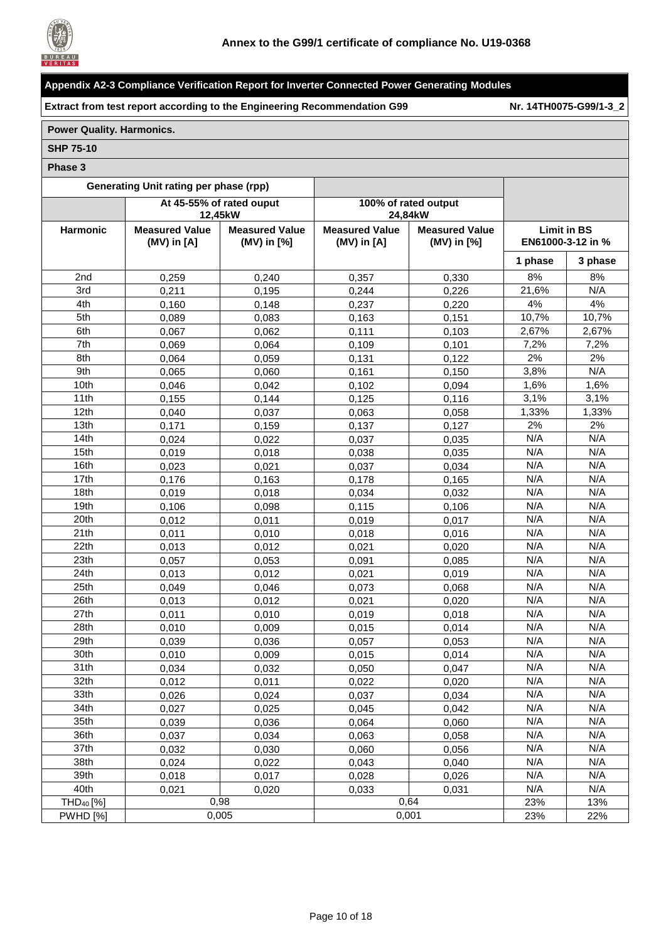

**Extract from test report according to the Engineering Recommendation G99 Nr. [14TH0075-G99/1-3\\_2](#page-0-1)**

## **Power Quality. Harmonics.**

#### **SHP 75-10**

| Generating Unit rating per phase (rpp) |                                          |                                          |                                          |                                      |                                         |         |
|----------------------------------------|------------------------------------------|------------------------------------------|------------------------------------------|--------------------------------------|-----------------------------------------|---------|
|                                        | 12,45kW                                  | At 45-55% of rated ouput                 |                                          | 100% of rated output<br>24,84kW      |                                         |         |
| <b>Harmonic</b>                        | <b>Measured Value</b><br>$(MV)$ in $[A]$ | <b>Measured Value</b><br>$(MV)$ in $[%]$ | <b>Measured Value</b><br>$(MV)$ in $[A]$ | <b>Measured Value</b><br>(MV) in [%] | <b>Limit in BS</b><br>EN61000-3-12 in % |         |
|                                        |                                          |                                          |                                          |                                      | 1 phase                                 | 3 phase |
| 2nd                                    | 0,259                                    | 0,240                                    | 0,357                                    | 0,330                                | 8%                                      | 8%      |
| 3rd                                    | 0,211                                    | 0,195                                    | 0,244                                    | 0,226                                | 21,6%                                   | N/A     |
| 4th                                    | 0,160                                    | 0.148                                    | 0,237                                    | 0,220                                | 4%                                      | 4%      |
| 5th                                    | 0,089                                    | 0,083                                    | 0,163                                    | 0,151                                | 10,7%                                   | 10,7%   |
| 6th                                    | 0,067                                    | 0,062                                    | 0,111                                    | 0,103                                | 2,67%                                   | 2,67%   |
| 7th                                    | 0,069                                    | 0,064                                    | 0,109                                    | 0,101                                | 7,2%                                    | 7,2%    |
| 8th                                    | 0,064                                    | 0,059                                    | 0,131                                    | 0,122                                | 2%                                      | 2%      |
| 9th                                    | 0,065                                    | 0,060                                    | 0,161                                    | 0,150                                | 3,8%                                    | N/A     |
| 10th                                   | 0.046                                    | 0.042                                    | 0,102                                    | 0.094                                | 1,6%                                    | 1,6%    |
| 11th                                   | 0,155                                    | 0.144                                    | 0,125                                    | 0,116                                | 3,1%                                    | 3,1%    |
| 12th                                   | 0.040                                    | 0,037                                    | 0,063                                    | 0,058                                | 1,33%                                   | 1,33%   |
| 13th                                   | 0,171                                    | 0,159                                    | 0,137                                    | 0,127                                | 2%                                      | 2%      |
| 14th                                   | 0,024                                    | 0,022                                    | 0,037                                    | 0,035                                | N/A                                     | N/A     |
| 15th                                   | 0,019                                    | 0,018                                    | 0,038                                    | 0,035                                | N/A                                     | N/A     |
| 16th                                   | 0,023                                    | 0,021                                    | 0,037                                    | 0,034                                | N/A                                     | N/A     |
| 17th                                   | 0,176                                    | 0,163                                    | 0,178                                    | 0,165                                | N/A                                     | N/A     |
| 18th                                   | 0,019                                    | 0,018                                    | 0,034                                    | 0,032                                | N/A                                     | N/A     |
| 19th                                   | 0,106                                    | 0,098                                    | 0,115                                    | 0,106                                | N/A                                     | N/A     |
| 20th                                   | 0,012                                    | 0,011                                    | 0,019                                    | 0,017                                | N/A                                     | N/A     |
| 21th                                   | 0,011                                    | 0,010                                    | 0,018                                    | 0,016                                | N/A                                     | N/A     |
| 22th                                   | 0,013                                    | 0,012                                    | 0,021                                    | 0,020                                | N/A                                     | N/A     |
| 23th                                   | 0,057                                    | 0,053                                    | 0,091                                    | 0,085                                | N/A                                     | N/A     |
| 24th                                   | 0,013                                    | 0,012                                    | 0,021                                    | 0,019                                | N/A                                     | N/A     |
| 25th                                   | 0,049                                    | 0,046                                    | 0,073                                    | 0,068                                | N/A                                     | N/A     |
| 26th                                   | 0,013                                    | 0,012                                    | 0,021                                    | 0,020                                | N/A                                     | N/A     |
| 27th                                   | 0,011                                    | 0,010                                    | 0,019                                    | 0,018                                | N/A                                     | N/A     |
| 28th                                   | 0,010                                    | 0,009                                    | 0,015                                    | 0,014                                | N/A                                     | N/A     |
| 29th                                   | 0,039                                    | 0,036                                    | 0,057                                    | 0,053                                | N/A                                     | N/A     |
| 30th                                   | 0,010                                    | 0,009                                    | 0,015                                    | 0,014                                | N/A                                     | N/A     |
| 31th                                   | 0,034                                    | 0,032                                    | 0,050                                    | 0,047                                | N/A                                     | N/A     |
| 32 <sub>th</sub>                       | 0,012                                    | 0,011                                    | 0,022                                    | 0,020                                | N/A                                     | N/A     |
| 33th                                   | 0,026                                    | 0,024                                    | 0,037                                    | 0,034                                | N/A                                     | N/A     |
| 34th                                   | 0,027                                    | 0,025                                    | 0,045                                    | 0,042                                | N/A                                     | N/A     |
| 35th                                   | 0,039                                    | 0,036                                    | 0,064                                    | 0,060                                | N/A                                     | N/A     |
| 36th                                   | 0,037                                    | 0,034                                    | 0,063                                    | 0,058                                | N/A                                     | N/A     |
| 37th                                   | 0,032                                    | 0,030                                    | 0,060                                    | 0.056                                | N/A                                     | N/A     |
| 38th                                   | 0,024                                    | 0,022                                    | 0,043                                    | 0,040                                | N/A                                     | N/A     |
| 39th                                   | 0,018                                    | 0,017                                    | 0,028                                    | 0,026                                | N/A                                     | N/A     |
| 40th                                   | 0,021                                    | 0,020                                    | 0.033                                    | 0,031                                | N/A                                     | N/A     |
| THD <sub>40</sub> [%]                  | 0,98                                     |                                          |                                          | 0,64                                 | 23%                                     | 13%     |
| <b>PWHD [%]</b>                        |                                          | 0,005                                    | 0,001                                    |                                      | 23%                                     | 22%     |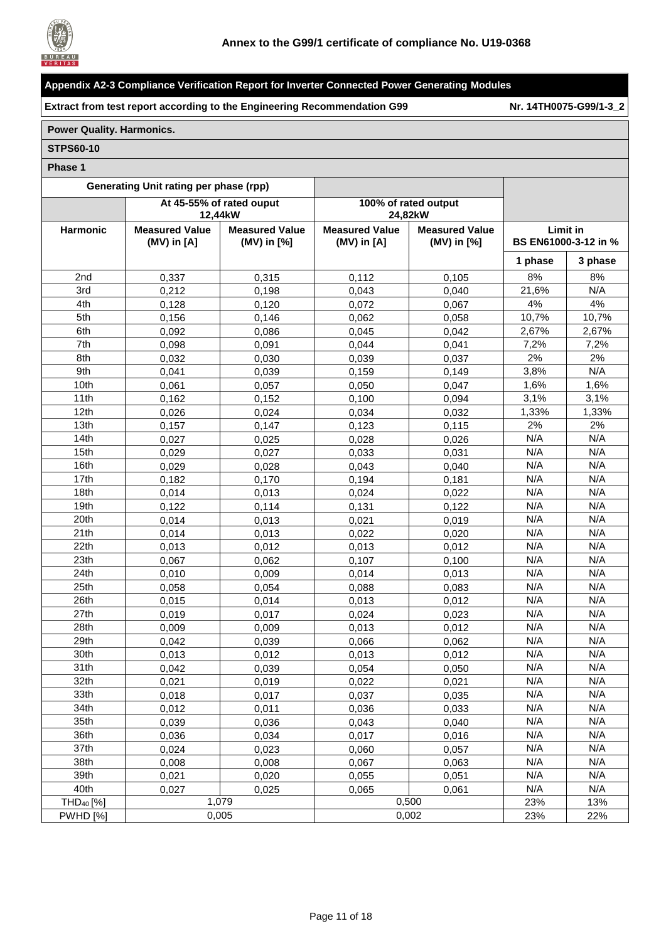

**Extract from test report according to the Engineering Recommendation G99 Nr. [14TH0075-G99/1-3\\_2](#page-0-1)**

## **Power Quality. Harmonics.**

#### **STPS60-10**

| Generating Unit rating per phase (rpp) |                                          |                                      |                                          |                                      |                 |                      |
|----------------------------------------|------------------------------------------|--------------------------------------|------------------------------------------|--------------------------------------|-----------------|----------------------|
|                                        |                                          | At 45-55% of rated ouput<br>12,44kW  |                                          | 100% of rated output<br>24,82kW      |                 |                      |
| Harmonic                               | <b>Measured Value</b><br>$(MV)$ in $[A]$ | <b>Measured Value</b><br>(MV) in [%] | <b>Measured Value</b><br>$(MV)$ in $[A]$ | <b>Measured Value</b><br>(MV) in [%] | <b>Limit in</b> | BS EN61000-3-12 in % |
|                                        |                                          |                                      |                                          |                                      | 1 phase         | 3 phase              |
| 2nd                                    | 0,337                                    | 0,315                                | 0,112                                    | 0,105                                | 8%              | 8%                   |
| 3rd                                    | 0,212                                    | 0,198                                | 0,043                                    | 0,040                                | 21,6%           | N/A                  |
| 4th                                    | 0,128                                    | 0,120                                | 0,072                                    | 0,067                                | 4%              | 4%                   |
| 5th                                    | 0,156                                    | 0,146                                | 0,062                                    | 0,058                                | 10,7%           | 10,7%                |
| 6th                                    | 0,092                                    | 0,086                                | 0,045                                    | 0,042                                | 2,67%           | 2,67%                |
| 7th                                    | 0,098                                    | 0,091                                | 0,044                                    | 0,041                                | 7,2%            | 7,2%                 |
| 8th                                    | 0,032                                    | 0,030                                | 0,039                                    | 0,037                                | 2%              | 2%                   |
| 9th                                    | 0,041                                    | 0,039                                | 0,159                                    | 0,149                                | 3,8%            | N/A                  |
| 10th                                   | 0,061                                    | 0,057                                | 0,050                                    | 0,047                                | 1,6%            | 1,6%                 |
| 11th                                   | 0,162                                    | 0,152                                | 0,100                                    | 0,094                                | 3,1%            | 3,1%                 |
| 12th                                   | 0.026                                    | 0,024                                | 0,034                                    | 0,032                                | 1,33%           | 1,33%                |
| 13th                                   | 0,157                                    | 0,147                                | 0,123                                    | 0,115                                | 2%              | 2%                   |
| 14th                                   | 0,027                                    | 0,025                                | 0,028                                    | 0,026                                | N/A             | N/A                  |
| 15th                                   | 0,029                                    | 0,027                                | 0,033                                    | 0,031                                | N/A             | N/A                  |
| 16th                                   | 0,029                                    | 0,028                                | 0,043                                    | 0,040                                | N/A             | N/A                  |
| 17th                                   | 0,182                                    | 0,170                                | 0,194                                    | 0,181                                | N/A             | N/A                  |
| 18th                                   | 0,014                                    | 0,013                                | 0,024                                    | 0,022                                | N/A             | N/A                  |
| 19th                                   | 0,122                                    | 0,114                                | 0,131                                    | 0,122                                | N/A             | N/A                  |
| 20th                                   | 0,014                                    | 0,013                                | 0,021                                    | 0,019                                | N/A             | N/A                  |
| 21th                                   | 0,014                                    | 0,013                                | 0,022                                    | 0,020                                | N/A             | N/A                  |
| 22th                                   | 0,013                                    | 0.012                                | 0,013                                    | 0,012                                | N/A             | N/A                  |
| 23th                                   | 0,067                                    | 0,062                                | 0,107                                    | 0,100                                | N/A             | N/A                  |
| 24th                                   | 0,010                                    | 0,009                                | 0,014                                    | 0,013                                | N/A             | N/A                  |
| 25th                                   | 0,058                                    | 0,054                                | 0,088                                    | 0,083                                | N/A             | N/A                  |
| 26th                                   | 0,015                                    | 0,014                                | 0,013                                    | 0,012                                | N/A             | N/A                  |
| 27th                                   | 0,019                                    | 0,017                                | 0,024                                    | 0,023                                | N/A             | N/A                  |
| 28th                                   | 0,009                                    | 0,009                                | 0,013                                    | 0,012                                | N/A             | N/A                  |
| 29th                                   | 0,042                                    | 0,039                                | 0,066                                    | 0,062                                | N/A             | N/A                  |
| 30th                                   | 0,013                                    | 0,012                                | 0,013                                    | 0,012                                | N/A             | N/A                  |
| 31th                                   | 0,042                                    | 0,039                                | 0,054                                    | 0,050                                | N/A             | N/A                  |
| 32 <sub>th</sub>                       | 0,021                                    | 0,019                                | 0,022                                    | 0,021                                | N/A             | N/A                  |
| 33th                                   | 0,018                                    | 0,017                                | 0,037                                    | 0,035                                | N/A             | N/A                  |
| 34th                                   | 0,012                                    | 0,011                                | 0,036                                    | 0,033                                | N/A             | N/A                  |
| 35th                                   | 0,039                                    | 0,036                                | 0,043                                    | 0,040                                | N/A             | N/A                  |
| 36th                                   | 0,036                                    | 0,034                                | 0,017                                    | 0,016                                | N/A             | N/A                  |
| 37th                                   | 0,024                                    | 0,023                                | 0,060                                    | 0,057                                | N/A             | N/A                  |
| 38th                                   | 0,008                                    | 0,008                                | 0,067                                    | 0,063                                | N/A             | N/A                  |
| 39th                                   | 0,021                                    | 0,020                                | 0,055                                    | 0,051                                | N/A             | N/A                  |
| 40th                                   | 0,027                                    | 0,025                                | 0,065                                    | 0,061                                | N/A             | N/A                  |
| THD <sub>40</sub> [%]                  |                                          | 1,079                                |                                          | 0,500                                | 23%             | 13%                  |
| <b>PWHD [%]</b>                        |                                          | 0.005                                |                                          | 0,002                                | 23%             | 22%                  |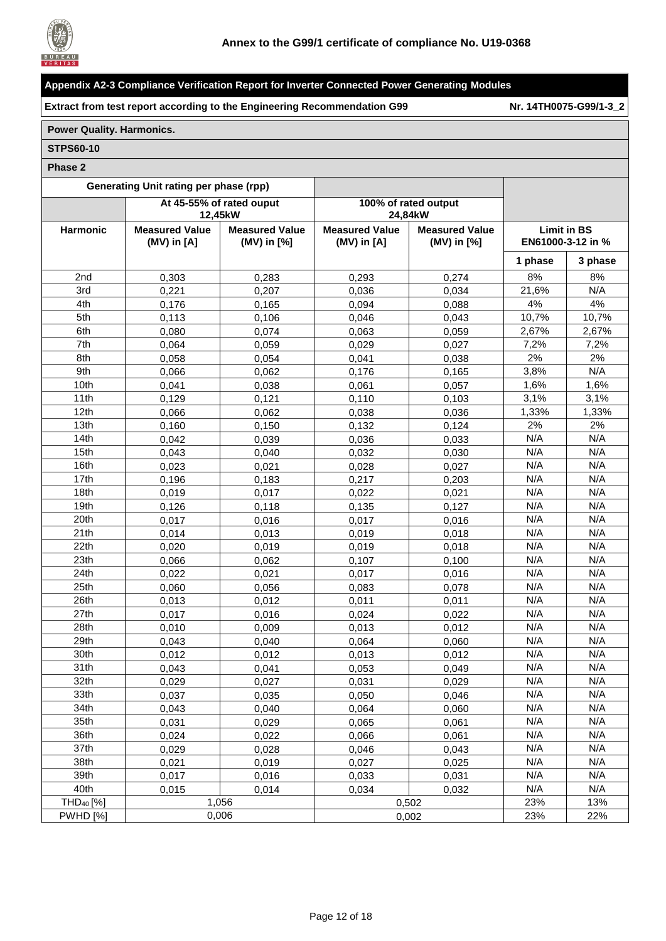

**Extract from test report according to the Engineering Recommendation G99 Nr. [14TH0075-G99/1-3\\_2](#page-0-1)**

## **Power Quality. Harmonics.**

#### **STPS60-10**

|                       | Generating Unit rating per phase (rpp)   |                                      |                                          |                                      |                    |                   |
|-----------------------|------------------------------------------|--------------------------------------|------------------------------------------|--------------------------------------|--------------------|-------------------|
|                       |                                          | At 45-55% of rated ouput<br>12,45kW  |                                          | 100% of rated output<br>24.84kW      |                    |                   |
| Harmonic              | <b>Measured Value</b><br>$(MV)$ in $[A]$ | <b>Measured Value</b><br>(MV) in [%] | <b>Measured Value</b><br>$(MV)$ in $[A]$ | <b>Measured Value</b><br>(MV) in [%] | <b>Limit in BS</b> | EN61000-3-12 in % |
|                       |                                          |                                      |                                          |                                      | 1 phase            | 3 phase           |
| 2nd                   | 0,303                                    | 0,283                                | 0,293                                    | 0,274                                | 8%                 | 8%                |
| 3rd                   | 0,221                                    | 0,207                                | 0,036                                    | 0,034                                | 21,6%              | N/A               |
| 4th                   | 0,176                                    | 0,165                                | 0,094                                    | 0,088                                | 4%                 | 4%                |
| 5th                   | 0,113                                    | 0,106                                | 0,046                                    | 0,043                                | 10,7%              | 10,7%             |
| 6th                   | 0,080                                    | 0,074                                | 0,063                                    | 0,059                                | 2,67%              | 2,67%             |
| 7th                   | 0,064                                    | 0,059                                | 0,029                                    | 0,027                                | 7,2%               | 7,2%              |
| 8th                   | 0,058                                    | 0,054                                | 0,041                                    | 0,038                                | 2%                 | 2%                |
| 9th                   | 0,066                                    | 0,062                                | 0,176                                    | 0,165                                | 3,8%               | N/A               |
| 10th                  | 0,041                                    | 0,038                                | 0,061                                    | 0,057                                | 1,6%               | 1,6%              |
| 11th                  | 0,129                                    | 0,121                                | 0,110                                    | 0,103                                | 3,1%               | 3,1%              |
| 12th                  | 0,066                                    | 0,062                                | 0,038                                    | 0,036                                | 1,33%              | 1,33%             |
| 13th                  | 0,160                                    | 0,150                                | 0,132                                    | 0,124                                | 2%                 | 2%                |
| 14th                  | 0,042                                    | 0.039                                | 0,036                                    | 0,033                                | N/A                | N/A               |
| 15th                  | 0,043                                    | 0,040                                | 0,032                                    | 0,030                                | N/A                | N/A               |
| 16th                  | 0,023                                    | 0,021                                | 0,028                                    | 0,027                                | N/A                | N/A               |
| 17th                  | 0,196                                    | 0,183                                | 0,217                                    | 0,203                                | N/A                | N/A               |
| 18th                  | 0,019                                    | 0,017                                | 0,022                                    | 0,021                                | N/A                | N/A               |
| 19th                  | 0,126                                    | 0,118                                | 0,135                                    | 0,127                                | N/A                | N/A               |
| 20th                  | 0,017                                    | 0,016                                | 0,017                                    | 0,016                                | N/A                | N/A               |
| 21th                  | 0,014                                    | 0,013                                | 0,019                                    | 0,018                                | N/A                | N/A               |
| 22th                  | 0,020                                    | 0,019                                | 0,019                                    | 0,018                                | N/A                | N/A               |
| 23th                  | 0,066                                    | 0,062                                | 0,107                                    | 0,100                                | N/A                | N/A               |
| 24th                  | 0,022                                    | 0,021                                | 0,017                                    | 0,016                                | N/A                | N/A               |
| 25th                  | 0,060                                    | 0,056                                | 0,083                                    | 0,078                                | N/A                | N/A               |
| 26th                  | 0,013                                    | 0,012                                | 0,011                                    | 0,011                                | N/A                | N/A               |
| 27th                  | 0,017                                    | 0,016                                | 0,024                                    | 0,022                                | N/A                | N/A               |
| 28th                  | 0,010                                    | 0,009                                | 0,013                                    | 0,012                                | N/A                | N/A               |
| 29th                  | 0,043                                    | 0,040                                | 0,064                                    | 0,060                                | N/A                | N/A               |
| 30th                  | 0,012                                    | 0,012                                | 0,013                                    | 0,012                                | N/A                | N/A               |
| 31th                  | 0,043                                    | 0,041                                | 0,053                                    | 0,049                                | N/A                | N/A               |
| 32th                  | 0,029                                    | 0,027                                | 0,031                                    | 0,029                                | N/A                | N/A               |
| 33th                  | 0,037                                    | 0,035                                | 0,050                                    | 0,046                                | N/A                | N/A               |
| 34th                  | 0,043                                    | 0,040                                | 0,064                                    | 0,060                                | N/A                | N/A               |
| 35th                  | 0,031                                    | 0,029                                | 0,065                                    | 0,061                                | N/A                | N/A               |
| 36th                  | 0,024                                    | 0,022                                | 0,066                                    | 0,061                                | N/A                | N/A               |
| 37th                  | 0,029                                    | 0,028                                | 0,046                                    | 0,043                                | N/A                | N/A               |
| 38th                  | 0,021                                    | 0,019                                | 0,027                                    | 0,025                                | N/A                | N/A               |
| 39th                  | 0,017                                    | 0,016                                | 0,033                                    | 0,031                                | N/A                | N/A               |
| 40th                  | 0,015                                    | 0,014                                | 0,034                                    | 0,032                                | N/A                | N/A               |
| THD <sub>40</sub> [%] |                                          | 1,056                                |                                          | 0,502                                | 23%                | 13%               |
| <b>PWHD [%]</b>       |                                          | 0,006                                |                                          | 0,002                                | 23%                | 22%               |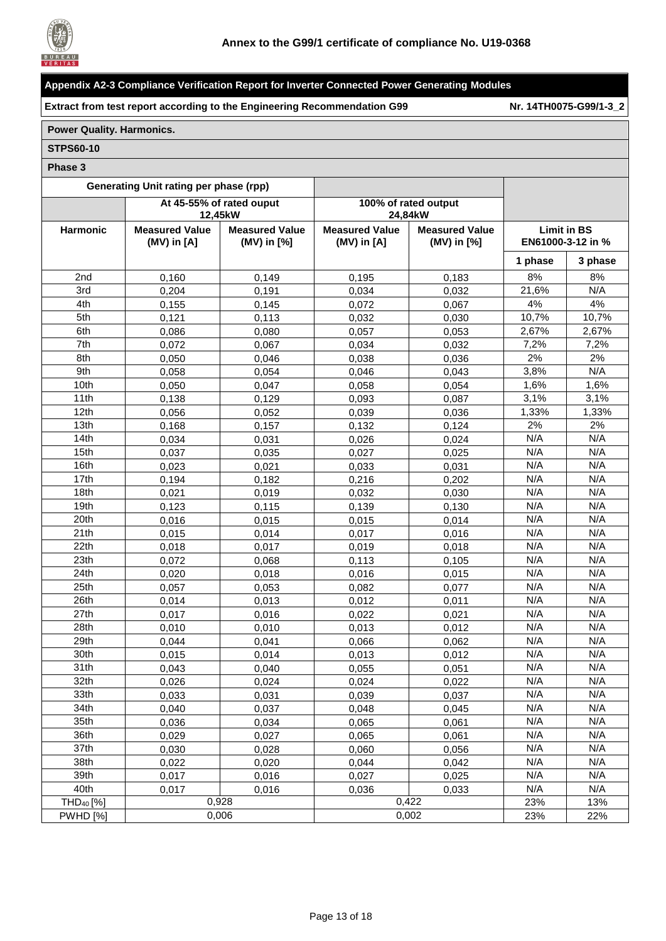

**Extract from test report according to the Engineering Recommendation G99 Nr. [14TH0075-G99/1-3\\_2](#page-0-1)**

## **Power Quality. Harmonics.**

#### **STPS60-10**

|                       | <b>Generating Unit rating per phase (rpp)</b> |                                     |                       |                                 |                    |                   |
|-----------------------|-----------------------------------------------|-------------------------------------|-----------------------|---------------------------------|--------------------|-------------------|
|                       |                                               | At 45-55% of rated ouput<br>12,45kW |                       | 100% of rated output<br>24,84kW |                    |                   |
| Harmonic              | <b>Measured Value</b>                         | <b>Measured Value</b>               | <b>Measured Value</b> | <b>Measured Value</b>           | <b>Limit in BS</b> |                   |
|                       | $(MV)$ in $[A]$                               | (MV) in [%]                         | $(MV)$ in $[A]$       | (MV) in [%]                     |                    | EN61000-3-12 in % |
|                       |                                               |                                     |                       |                                 | 1 phase            | 3 phase           |
| 2nd                   | 0,160                                         | 0,149                               | 0,195                 | 0,183                           | 8%                 | 8%                |
| 3rd                   | 0,204                                         | 0,191                               | 0,034                 | 0,032                           | 21,6%              | N/A               |
| 4th                   | 0,155                                         | 0,145                               | 0,072                 | 0,067                           | 4%                 | 4%                |
| 5th                   | 0,121                                         | 0.113                               | 0,032                 | 0,030                           | 10,7%              | 10,7%             |
| 6th                   | 0,086                                         | 0.080                               | 0,057                 | 0,053                           | 2,67%              | 2,67%             |
| 7th                   | 0,072                                         | 0,067                               | 0,034                 | 0,032                           | 7,2%               | 7,2%              |
| 8th                   | 0,050                                         | 0,046                               | 0,038                 | 0,036                           | 2%                 | 2%                |
| 9th                   | 0,058                                         | 0,054                               | 0,046                 | 0,043                           | 3,8%               | N/A               |
| 10th                  | 0,050                                         | 0,047                               | 0,058                 | 0,054                           | 1,6%               | $1,6\%$           |
| 11th                  | 0,138                                         | 0,129                               | 0,093                 | 0,087                           | 3,1%               | 3,1%              |
| 12th                  | 0.056                                         | 0.052                               | 0,039                 | 0,036                           | 1,33%              | 1,33%             |
| 13th                  | 0,168                                         | 0,157                               | 0,132                 | 0,124                           | 2%                 | 2%                |
| 14th                  | 0.034                                         | 0,031                               | 0,026                 | 0,024                           | N/A                | N/A               |
| 15th                  | 0,037                                         | 0,035                               | 0,027                 | 0,025                           | N/A                | N/A               |
| 16th                  | 0,023                                         | 0,021                               | 0,033                 | 0,031                           | N/A                | N/A               |
| 17th                  | 0,194                                         | 0,182                               | 0,216                 | 0,202                           | N/A                | N/A               |
| 18th                  | 0,021                                         | 0,019                               | 0,032                 | 0,030                           | N/A                | N/A               |
| 19th                  | 0,123                                         | 0,115                               | 0,139                 | 0,130                           | N/A                | N/A               |
| 20th                  | 0,016                                         | 0,015                               | 0,015                 | 0,014                           | N/A                | N/A               |
| 21th                  | 0,015                                         | 0,014                               | 0,017                 | 0,016                           | N/A                | N/A               |
| 22th                  | 0,018                                         | 0,017                               | 0,019                 | 0,018                           | N/A                | N/A               |
| 23th                  | 0,072                                         | 0,068                               | 0,113                 | 0,105                           | N/A                | N/A               |
| 24th                  | 0,020                                         | 0,018                               | 0,016                 | 0,015                           | N/A                | N/A               |
| 25th                  | 0,057                                         | 0,053                               | 0,082                 | 0,077                           | N/A                | N/A               |
| 26th                  | 0,014                                         | 0,013                               | 0,012                 | 0,011                           | N/A                | N/A               |
| 27th                  | 0,017                                         | 0,016                               | 0,022                 | 0,021                           | N/A                | N/A               |
| 28th                  | 0,010                                         | 0,010                               | 0,013                 | 0,012                           | N/A                | N/A               |
| 29th                  | 0,044                                         | 0,041                               | 0,066                 | 0,062                           | N/A                | N/A               |
| 30th                  | 0,015                                         | 0,014                               | 0,013                 | 0,012                           | N/A                | N/A               |
| 31th                  | 0,043                                         | 0,040                               | 0,055                 | 0,051                           | N/A                | N/A               |
| 32th                  | 0,026                                         | 0,024                               | 0,024                 | 0,022                           | N/A                | N/A               |
| 33th                  | 0,033                                         | 0,031                               | 0,039                 | 0,037                           | N/A                | N/A               |
| 34th                  | 0,040                                         | 0,037                               | 0,048                 | 0,045                           | N/A                | N/A               |
| 35th                  | 0,036                                         | 0,034                               | 0,065                 | 0,061                           | N/A                | N/A               |
| 36th                  | 0,029                                         | 0,027                               | 0,065                 | 0,061                           | N/A                | N/A               |
| 37th                  | 0,030                                         | 0,028                               | 0,060                 | 0,056                           | N/A                | N/A               |
| 38th                  | 0,022                                         | 0,020                               | 0,044                 | 0,042                           | N/A                | N/A               |
| 39th                  | 0,017                                         | 0,016                               | 0,027                 | 0,025                           | N/A                | N/A               |
| 40th                  | 0,017                                         | 0,016                               | 0,036                 | 0,033                           | N/A                | N/A               |
| THD <sub>40</sub> [%] |                                               | 0,928                               |                       | 0,422                           | 23%                | 13%               |
| <b>PWHD [%]</b>       |                                               | 0,006                               |                       | 0,002                           | 23%                | 22%               |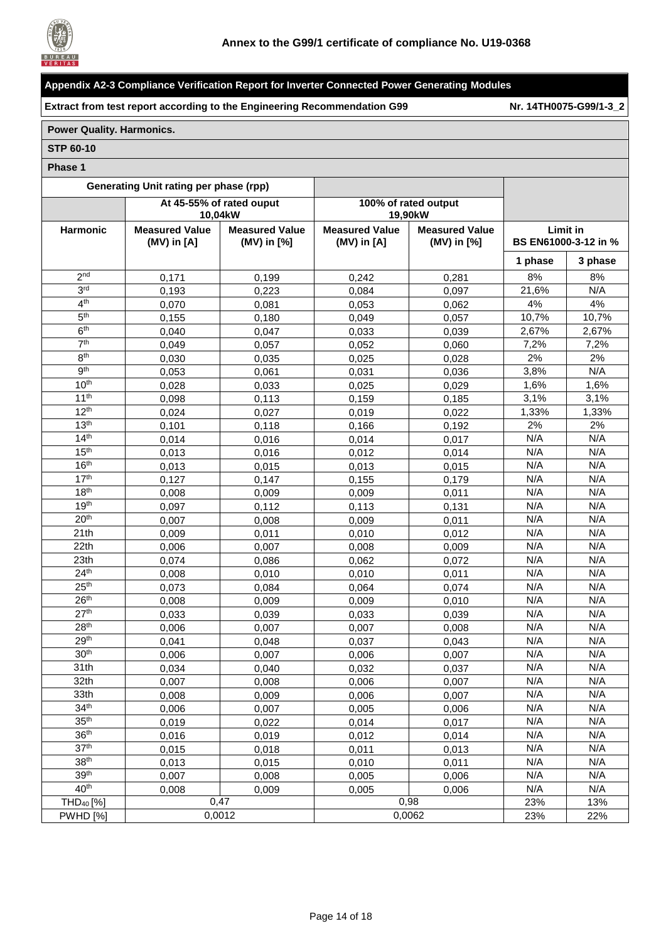

**Extract from test report according to the Engineering Recommendation G99 Nr. [14TH0075-G99/1-3\\_2](#page-0-1)**

## **Power Quality. Harmonics.**

#### **STP 60-10**

|                       | <b>Generating Unit rating per phase (rpp)</b> |                                     |                       |                                 |                      |         |
|-----------------------|-----------------------------------------------|-------------------------------------|-----------------------|---------------------------------|----------------------|---------|
|                       |                                               | At 45-55% of rated ouput<br>10,04kW |                       | 100% of rated output<br>19,90kW |                      |         |
| Harmonic              | <b>Measured Value</b>                         | <b>Measured Value</b>               | <b>Measured Value</b> | <b>Measured Value</b>           | <b>Limit in</b>      |         |
|                       | $(MV)$ in $[A]$                               | (MV) in [%]                         | $(MV)$ in $[A]$       | (MV) in [%]                     | BS EN61000-3-12 in % |         |
|                       |                                               |                                     |                       |                                 | 1 phase              | 3 phase |
| 2 <sub>nd</sub>       | 0,171                                         | 0,199                               | 0,242                 | 0,281                           | 8%                   | 8%      |
| 3 <sup>rd</sup>       | 0,193                                         | 0,223                               | 0,084                 | 0,097                           | 21,6%                | N/A     |
| 4 <sup>th</sup>       | 0,070                                         | 0,081                               | 0,053                 | 0,062                           | 4%                   | 4%      |
| 5 <sup>th</sup>       | 0,155                                         | 0,180                               | 0,049                 | 0,057                           | 10,7%                | 10,7%   |
| 6 <sup>th</sup>       | 0,040                                         | 0,047                               | 0,033                 | 0,039                           | 2,67%                | 2,67%   |
| 7 <sup>th</sup>       | 0,049                                         | 0,057                               | 0,052                 | 0,060                           | 7,2%                 | 7,2%    |
| 8 <sup>th</sup>       | 0,030                                         | 0,035                               | 0,025                 | 0,028                           | 2%                   | 2%      |
| 9 <sup>th</sup>       | 0,053                                         | 0,061                               | 0,031                 | 0,036                           | 3,8%                 | N/A     |
| 10 <sup>th</sup>      | 0,028                                         | 0,033                               | 0,025                 | 0,029                           | 1,6%                 | 1,6%    |
| 11 <sup>th</sup>      | 0.098                                         | 0,113                               | 0,159                 | 0,185                           | 3,1%                 | 3,1%    |
| 12 <sup>th</sup>      | 0,024                                         | 0,027                               | 0,019                 | 0,022                           | 1,33%                | 1,33%   |
| 13 <sup>th</sup>      | 0,101                                         | 0,118                               | 0,166                 | 0,192                           | 2%                   | 2%      |
| 14 <sup>th</sup>      | 0,014                                         | 0,016                               | 0,014                 | 0,017                           | N/A                  | N/A     |
| 15 <sup>th</sup>      | 0,013                                         | 0,016                               | 0,012                 | 0,014                           | N/A                  | N/A     |
| 16 <sup>th</sup>      | 0,013                                         | 0,015                               | 0,013                 | 0,015                           | N/A                  | N/A     |
| 17 <sup>th</sup>      | 0,127                                         | 0,147                               | 0,155                 | 0,179                           | N/A                  | N/A     |
| 18 <sup>th</sup>      | 0,008                                         | 0,009                               | 0,009                 | 0,011                           | N/A                  | N/A     |
| 19 <sup>th</sup>      | 0,097                                         | 0,112                               | 0,113                 | 0,131                           | N/A                  | N/A     |
| 20 <sup>th</sup>      | 0,007                                         | 0,008                               | 0,009                 | 0,011                           | N/A                  | N/A     |
| 21th                  | 0,009                                         | 0,011                               | 0,010                 | 0,012                           | N/A                  | N/A     |
| 22th                  | 0,006                                         | 0,007                               | 0,008                 | 0,009                           | N/A                  | N/A     |
| 23th                  | 0,074                                         | 0,086                               | 0,062                 | 0,072                           | N/A                  | N/A     |
| 24 <sup>th</sup>      | 0,008                                         | 0,010                               | 0,010                 | 0,011                           | N/A                  | N/A     |
| 25 <sup>th</sup>      | 0,073                                         | 0,084                               | 0,064                 | 0,074                           | N/A                  | N/A     |
| 26 <sup>th</sup>      | 0,008                                         | 0,009                               | 0,009                 | 0,010                           | N/A                  | N/A     |
| 27 <sup>th</sup>      | 0,033                                         | 0,039                               | 0,033                 | 0,039                           | N/A                  | N/A     |
| 28 <sup>th</sup>      | 0,006                                         | 0,007                               | 0,007                 | 0,008                           | N/A                  | N/A     |
| 29 <sup>th</sup>      | 0,041                                         | 0,048                               | 0,037                 | 0,043                           | N/A                  | N/A     |
| 30 <sup>th</sup>      | 0,006                                         | 0,007                               | 0,006                 | 0,007                           | N/A                  | N/A     |
| 31th                  | 0,034                                         | 0,040                               | 0,032                 | 0,037                           | N/A                  | N/A     |
| 32th                  | 0,007                                         | 0,008                               | 0,006                 | 0,007                           | N/A                  | N/A     |
| 33th                  | 0,008                                         | 0,009                               | 0,006                 | 0,007                           | N/A                  | N/A     |
| 34 <sup>th</sup>      | 0,006                                         | 0,007                               | 0,005                 | 0,006                           | N/A                  | N/A     |
| 35 <sup>th</sup>      | 0,019                                         | 0,022                               | 0,014                 | 0,017                           | N/A                  | N/A     |
| 36 <sup>th</sup>      | 0,016                                         | 0,019                               | 0,012                 | 0,014                           | N/A                  | N/A     |
| 37 <sup>th</sup>      | 0,015                                         | 0,018                               | 0,011                 | 0,013                           | N/A                  | N/A     |
| 38 <sup>th</sup>      | 0,013                                         | 0,015                               | 0,010                 | 0,011                           | N/A                  | N/A     |
| 39 <sup>th</sup>      | 0,007                                         | 0,008                               | 0,005                 | 0,006                           | N/A                  | N/A     |
| 40 <sup>th</sup>      | 0,008                                         | 0,009                               | 0,005                 | 0,006                           | N/A                  | N/A     |
| THD <sub>40</sub> [%] |                                               | 0,47                                |                       | 0,98                            | 23%                  | 13%     |
| <b>PWHD [%]</b>       |                                               | 0,0012                              |                       | 0,0062                          | 23%                  | 22%     |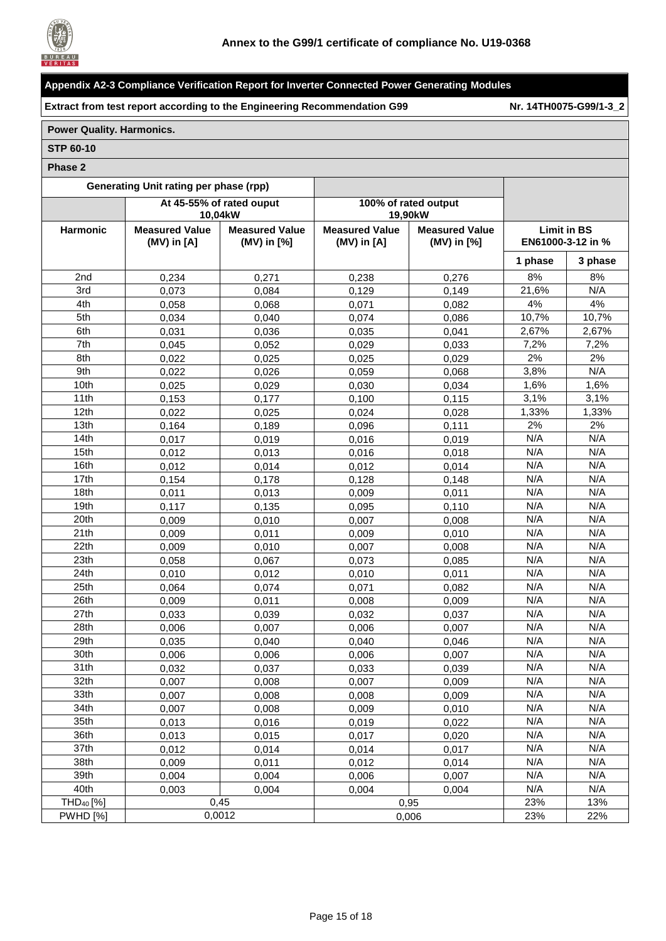

**Extract from test report according to the Engineering Recommendation G99 Nr. [14TH0075-G99/1-3\\_2](#page-0-1)**

## **Power Quality. Harmonics.**

#### **STP 60-10**

| <b>Generating Unit rating per phase (rpp)</b> |                                          |                                      |                                          |                                          |                   |                    |
|-----------------------------------------------|------------------------------------------|--------------------------------------|------------------------------------------|------------------------------------------|-------------------|--------------------|
|                                               |                                          | At 45-55% of rated ouput<br>10,04kW  |                                          | 100% of rated output<br>19,90kW          |                   |                    |
| Harmonic                                      | <b>Measured Value</b><br>$(MV)$ in $[A]$ | <b>Measured Value</b><br>(MV) in [%] | <b>Measured Value</b><br>$(MV)$ in $[A]$ | <b>Measured Value</b><br>$(MV)$ in $[%]$ | EN61000-3-12 in % | <b>Limit in BS</b> |
|                                               |                                          |                                      |                                          |                                          | 1 phase           | 3 phase            |
| 2nd                                           | 0,234                                    | 0,271                                | 0,238                                    | 0,276                                    | 8%                | 8%                 |
| 3rd                                           | 0,073                                    | 0,084                                | 0,129                                    | 0,149                                    | 21,6%             | N/A                |
| 4th                                           | 0,058                                    | 0,068                                | 0,071                                    | 0,082                                    | 4%                | 4%                 |
| 5th                                           | 0,034                                    | 0,040                                | 0,074                                    | 0.086                                    | 10,7%             | 10,7%              |
| 6th                                           | 0,031                                    | 0.036                                | 0,035                                    | 0,041                                    | 2,67%             | 2,67%              |
| 7th                                           | 0,045                                    | 0,052                                | 0,029                                    | 0,033                                    | 7,2%              | 7,2%               |
| 8th                                           | 0,022                                    | 0,025                                | 0,025                                    | 0,029                                    | 2%                | 2%                 |
| 9th                                           | 0,022                                    | 0,026                                | 0,059                                    | 0,068                                    | 3,8%              | N/A                |
| 10th                                          | 0,025                                    | 0,029                                | 0,030                                    | 0,034                                    | 1,6%              | 1,6%               |
| 11th                                          | 0,153                                    | 0,177                                | 0,100                                    | 0,115                                    | 3,1%              | 3,1%               |
| 12th                                          | 0,022                                    | 0,025                                | 0,024                                    | 0,028                                    | 1,33%             | 1,33%              |
| 13th                                          | 0,164                                    | 0,189                                | 0,096                                    | 0,111                                    | 2%                | 2%                 |
| 14th                                          | 0,017                                    | 0,019                                | 0,016                                    | 0,019                                    | N/A               | N/A                |
| 15th                                          | 0,012                                    | 0,013                                | 0,016                                    | 0,018                                    | N/A               | N/A                |
| 16th                                          | 0,012                                    | 0,014                                | 0,012                                    | 0,014                                    | N/A               | N/A                |
| 17th                                          | 0,154                                    | 0,178                                | 0,128                                    | 0,148                                    | N/A               | N/A                |
| 18th                                          | 0,011                                    | 0,013                                | 0,009                                    | 0,011                                    | N/A               | N/A                |
| 19th                                          | 0,117                                    | 0,135                                | 0,095                                    | 0,110                                    | N/A               | N/A                |
| 20th                                          | 0,009                                    | 0,010                                | 0,007                                    | 0,008                                    | N/A               | N/A                |
| 21th                                          | 0,009                                    | 0,011                                | 0,009                                    | 0,010                                    | N/A               | N/A                |
| 22th                                          | 0,009                                    | 0,010                                | 0,007                                    | 0,008                                    | N/A               | N/A                |
| 23th                                          | 0,058                                    | 0,067                                | 0,073                                    | 0,085                                    | N/A               | N/A                |
| 24th                                          | 0,010                                    | 0,012                                | 0,010                                    | 0,011                                    | N/A               | N/A                |
| 25th                                          | 0,064                                    | 0,074                                | 0,071                                    | 0,082                                    | N/A               | N/A                |
| 26th                                          | 0,009                                    | 0,011                                | 0,008                                    | 0,009                                    | N/A               | N/A                |
| 27th                                          | 0,033                                    | 0,039                                | 0,032                                    | 0,037                                    | N/A               | N/A                |
| 28th                                          | 0,006                                    | 0,007                                | 0,006                                    | 0,007                                    | N/A               | N/A                |
| 29th                                          | 0,035                                    | 0,040                                | 0,040                                    | 0,046                                    | N/A               | N/A                |
| 30th                                          | 0,006                                    | 0,006                                | 0,006                                    | 0,007                                    | N/A               | N/A                |
| 31th                                          | 0,032                                    | 0,037                                | 0,033                                    | 0,039                                    | N/A               | N/A                |
| 32th                                          | 0,007                                    | 0,008                                | 0,007                                    | 0,009                                    | N/A               | N/A                |
| 33th                                          | 0,007                                    | 0,008                                | 0,008                                    | 0,009                                    | N/A               | N/A                |
| 34th                                          | 0,007                                    | 0,008                                | 0,009                                    | 0,010                                    | N/A               | N/A                |
| 35th                                          | 0,013                                    | 0,016                                | 0,019                                    | 0,022                                    | N/A               | N/A                |
| 36th                                          | 0,013                                    | 0,015                                | 0,017                                    | 0,020                                    | N/A               | N/A                |
| 37th                                          | 0,012                                    | 0,014                                | 0,014                                    | 0,017                                    | N/A               | N/A                |
| 38th                                          | 0,009                                    | 0,011                                | 0,012                                    | 0,014                                    | N/A               | N/A                |
| 39th                                          | 0,004                                    | 0,004                                | 0,006                                    | 0,007                                    | N/A               | N/A                |
| 40th                                          | 0,003                                    | 0,004                                | 0,004                                    | 0,004                                    | N/A               | N/A                |
| THD <sub>40</sub> [%]                         |                                          | 0,45                                 |                                          | 0,95                                     | 23%               | 13%                |
| $\overline{\mathsf{PWHD}}$ [%]                |                                          | 0,0012                               |                                          | 0,006                                    | 23%               | 22%                |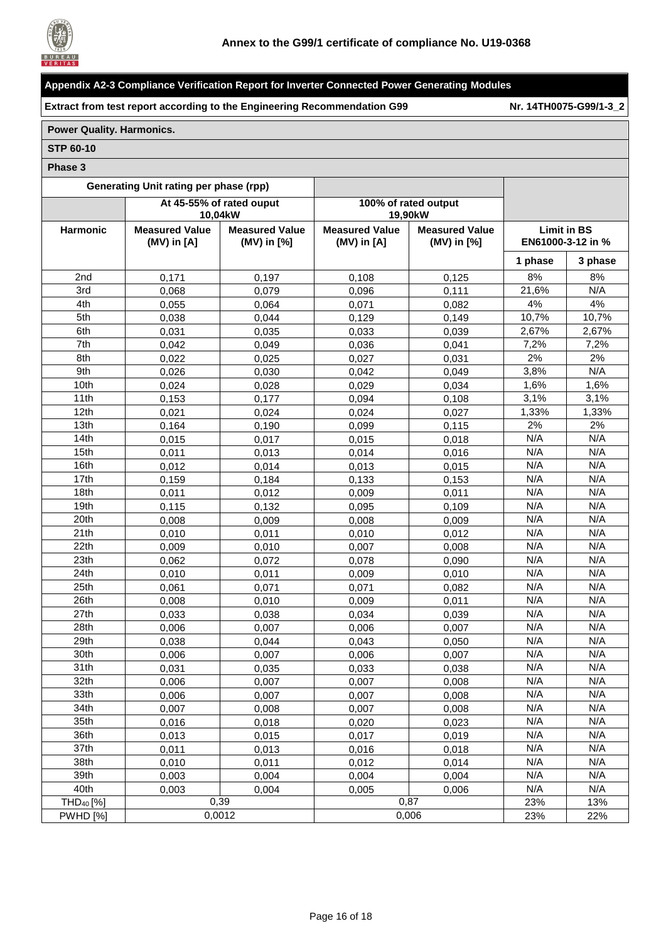

**Extract from test report according to the Engineering Recommendation G99 Nr. [14TH0075-G99/1-3\\_2](#page-0-1)**

## **Power Quality. Harmonics.**

#### **STP 60-10**

|                                | Generating Unit rating per phase (rpp)   |                                      |                                          |                                              |                    |                   |
|--------------------------------|------------------------------------------|--------------------------------------|------------------------------------------|----------------------------------------------|--------------------|-------------------|
|                                |                                          | At 45-55% of rated ouput<br>10,04kW  |                                          | 100% of rated output<br>19.90 <sub>k</sub> W |                    |                   |
| Harmonic                       | <b>Measured Value</b><br>$(MV)$ in $[A]$ | <b>Measured Value</b><br>(MV) in [%] | <b>Measured Value</b><br>$(MV)$ in $[A]$ | <b>Measured Value</b><br>(MV) in [%]         | <b>Limit in BS</b> | EN61000-3-12 in % |
|                                |                                          |                                      |                                          |                                              | 1 phase            | 3 phase           |
| 2nd                            | 0,171                                    | 0,197                                | 0,108                                    | 0,125                                        | 8%                 | 8%                |
| 3rd                            | 0,068                                    | 0,079                                | 0,096                                    | 0,111                                        | 21,6%              | N/A               |
| 4th                            | 0,055                                    | 0,064                                | 0,071                                    | 0,082                                        | 4%                 | 4%                |
| 5th                            | 0,038                                    | 0,044                                | 0,129                                    | 0,149                                        | 10,7%              | 10,7%             |
| 6th                            | 0,031                                    | 0,035                                | 0,033                                    | 0,039                                        | 2,67%              | 2,67%             |
| 7th                            | 0,042                                    | 0,049                                | 0,036                                    | 0,041                                        | 7,2%               | 7,2%              |
| 8th                            | 0,022                                    | 0,025                                | 0,027                                    | 0,031                                        | 2%                 | 2%                |
| 9th                            | 0,026                                    | 0,030                                | 0,042                                    | 0,049                                        | 3,8%               | N/A               |
| 10th                           | 0,024                                    | 0,028                                | 0,029                                    | 0,034                                        | 1,6%               | 1,6%              |
| 11th                           | 0,153                                    | 0,177                                | 0,094                                    | 0,108                                        | 3,1%               | 3,1%              |
| 12th                           | 0,021                                    | 0,024                                | 0,024                                    | 0,027                                        | 1,33%              | 1,33%             |
| 13th                           | 0,164                                    | 0,190                                | 0,099                                    | 0,115                                        | 2%                 | 2%                |
| 14th                           | 0,015                                    | 0,017                                | 0,015                                    | 0,018                                        | N/A                | N/A               |
| 15th                           | 0,011                                    | 0.013                                | 0,014                                    | 0,016                                        | N/A                | N/A               |
| 16th                           | 0,012                                    | 0,014                                | 0,013                                    | 0,015                                        | N/A                | N/A               |
| 17th                           | 0,159                                    | 0,184                                | 0,133                                    | 0,153                                        | N/A                | N/A               |
| 18th                           | 0,011                                    | 0,012                                | 0,009                                    | 0,011                                        | N/A                | N/A               |
| 19th                           | 0,115                                    | 0,132                                | 0,095                                    | 0,109                                        | N/A                | N/A               |
| 20th                           | 0,008                                    | 0,009                                | 0,008                                    | 0,009                                        | N/A                | N/A               |
| 21th                           | 0,010                                    | 0,011                                | 0,010                                    | 0,012                                        | N/A                | N/A               |
| 22th                           | 0,009                                    | 0,010                                | 0,007                                    | 0,008                                        | N/A                | N/A               |
| 23th                           | 0,062                                    | 0,072                                | 0,078                                    | 0,090                                        | N/A                | N/A               |
| 24th                           | 0,010                                    | 0,011                                | 0,009                                    | 0,010                                        | N/A                | N/A               |
| 25th                           | 0,061                                    | 0,071                                | 0,071                                    | 0,082                                        | N/A                | N/A               |
| 26th                           | 0,008                                    | 0,010                                | 0,009                                    | 0,011                                        | N/A                | N/A               |
| 27th                           | 0,033                                    | 0,038                                | 0,034                                    | 0,039                                        | N/A                | N/A               |
| 28th                           | 0,006                                    | 0,007                                | 0,006                                    | 0,007                                        | N/A                | N/A               |
| 29th                           | 0,038                                    | 0,044                                | 0,043                                    | 0,050                                        | N/A                | N/A               |
| 30th                           | 0,006                                    | 0,007                                | 0,006                                    | 0,007                                        | N/A                | N/A               |
| 31th                           | 0,031                                    | 0,035                                | 0,033                                    | 0,038                                        | N/A                | N/A               |
| 32th                           | 0,006                                    | 0,007                                | 0,007                                    | 0,008                                        | N/A                | N/A               |
| 33th                           | 0,006                                    | 0,007                                | 0,007                                    | 0,008                                        | N/A                | N/A               |
| 34th                           | 0.007                                    | 0,008                                | 0,007                                    | 0,008                                        | N/A                | N/A               |
| 35th                           | 0,016                                    | 0,018                                | 0,020                                    | 0,023                                        | N/A                | N/A               |
| 36th                           | 0,013                                    | 0,015                                | 0,017                                    | 0,019                                        | N/A                | N/A               |
| 37th                           | 0,011                                    | 0,013                                | 0,016                                    | 0,018                                        | N/A                | N/A               |
| 38th                           | 0,010                                    | 0,011                                | 0,012                                    | 0,014                                        | N/A                | N/A               |
| 39th                           | 0,003                                    | 0,004                                | 0,004                                    | 0,004                                        | N/A                | N/A               |
| 40th                           | 0,003                                    | 0,004                                | 0,005                                    | 0,006                                        | N/A                | N/A               |
| THD <sub>40</sub> [%]          |                                          | 0,39                                 |                                          | 0,87                                         | 23%                | 13%               |
| $\overline{\mathsf{PWHD}}$ [%] |                                          | 0,0012                               |                                          | 0,006                                        | 23%                | 22%               |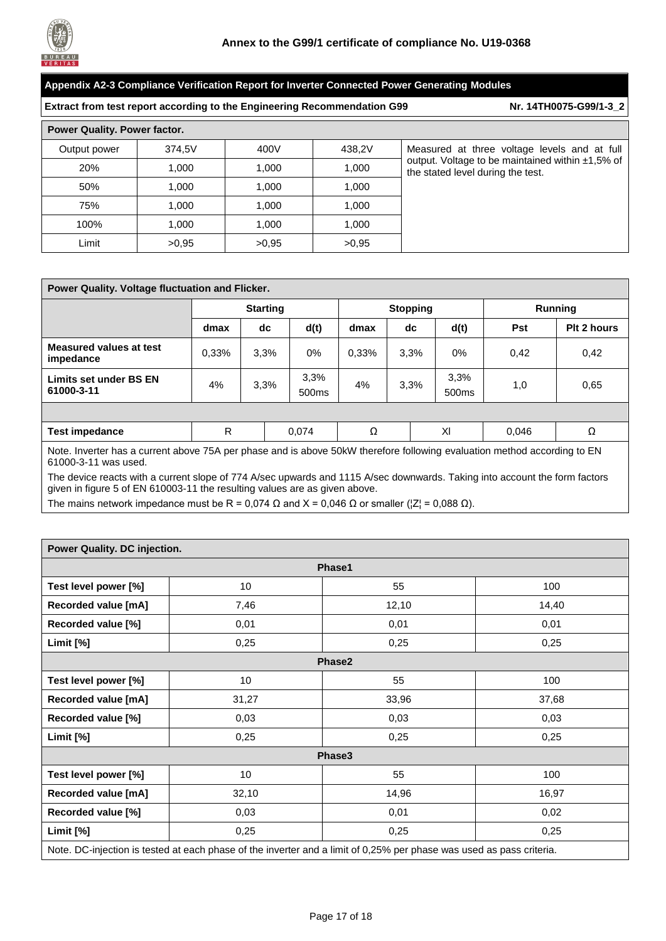

| Appendix A2-3 Compliance Verification Report for Inverter Connected Power Generating Modules              |        |       |        |                                                                                             |  |  |
|-----------------------------------------------------------------------------------------------------------|--------|-------|--------|---------------------------------------------------------------------------------------------|--|--|
| Nr. 14TH0075-G99/1-3_2<br><b>Extract from test report according to the Engineering Recommendation G99</b> |        |       |        |                                                                                             |  |  |
| Power Quality. Power factor.                                                                              |        |       |        |                                                                                             |  |  |
| Output power                                                                                              | 374,5V | 400V  | 438.2V | Measured at three voltage levels and at full                                                |  |  |
| 20%                                                                                                       | 1.000  | 1.000 | 1,000  | output. Voltage to be maintained within $\pm 1,5\%$ of<br>the stated level during the test. |  |  |
| 50%                                                                                                       | 1.000  | 1.000 | 1.000  |                                                                                             |  |  |
| 75%                                                                                                       | 1.000  | 1.000 | 1.000  |                                                                                             |  |  |
| 100%                                                                                                      | 1.000  | 1.000 | 1.000  |                                                                                             |  |  |
| Limit                                                                                                     | >0.95  | >0.95 | >0.95  |                                                                                             |  |  |

| Power Quality. Voltage fluctuation and Flicker.                                                                                                                                                                                     |                 |      |                           |       |                 |                           |                |             |
|-------------------------------------------------------------------------------------------------------------------------------------------------------------------------------------------------------------------------------------|-----------------|------|---------------------------|-------|-----------------|---------------------------|----------------|-------------|
|                                                                                                                                                                                                                                     | <b>Starting</b> |      |                           |       | <b>Stopping</b> |                           | <b>Running</b> |             |
|                                                                                                                                                                                                                                     | dmax            | dc   | d(t)                      | dmax  | dc              | d(t)                      | <b>Pst</b>     | Plt 2 hours |
| <b>Measured values at test</b><br>impedance                                                                                                                                                                                         | 0,33%           | 3.3% | 0%                        | 0.33% | 3,3%            | 0%                        | 0,42           | 0,42        |
| Limits set under BS EN<br>61000-3-11                                                                                                                                                                                                | 4%              | 3,3% | 3.3%<br>500 <sub>ms</sub> | 4%    | 3,3%            | 3.3%<br>500 <sub>ms</sub> | 1,0            | 0.65        |
|                                                                                                                                                                                                                                     |                 |      |                           |       |                 |                           |                |             |
| <b>Test impedance</b>                                                                                                                                                                                                               | R               |      | 0,074                     | Ω     |                 | XI                        | 0,046          | Ω           |
| Note. Inverter has a current above 75A per phase and is above 50kW therefore following evaluation method according to EN<br>61000-3-11 was used.<br>▁▗▁▗▕▁▁▗▗▅▅▗▗▗▏▁▁▁▗▁▏▏▏▗▗▗▗▅▗▖▏▁▕▏▁▁▁▕▏ <del>▅</del> ▗▚▘▁▚▗▁▁▁▗▗▎ <i>▞▁▁▞</i> ▗ |                 |      |                           |       |                 |                           |                |             |

The device reacts with a current slope of 774 A/sec upwards and 1115 A/sec downwards. Taking into account the form factors given in figure 5 of EN 610003-11 the resulting values are as given above.

The mains network impedance must be R = 0,074  $\Omega$  and X = 0,046  $\Omega$  or smaller ( $|Z|$  = 0,088  $\Omega$ ).

| Power Quality. DC injection. |       |                                                                                                                      |       |  |  |  |
|------------------------------|-------|----------------------------------------------------------------------------------------------------------------------|-------|--|--|--|
| Phase1                       |       |                                                                                                                      |       |  |  |  |
| Test level power [%]         | 10    | 55                                                                                                                   | 100   |  |  |  |
| <b>Recorded value [mA]</b>   | 7,46  | 12,10                                                                                                                | 14,40 |  |  |  |
| Recorded value [%]           | 0,01  | 0,01                                                                                                                 | 0,01  |  |  |  |
| Limit [%]                    | 0,25  | 0,25                                                                                                                 | 0,25  |  |  |  |
| Phase2                       |       |                                                                                                                      |       |  |  |  |
| Test level power [%]         | 10    | 55                                                                                                                   | 100   |  |  |  |
| <b>Recorded value [mA]</b>   | 31,27 | 33,96                                                                                                                | 37,68 |  |  |  |
| Recorded value [%]           | 0,03  | 0,03                                                                                                                 | 0,03  |  |  |  |
| Limit [%]                    | 0,25  | 0,25                                                                                                                 | 0,25  |  |  |  |
|                              |       | Phase3                                                                                                               |       |  |  |  |
| Test level power [%]         | 10    | 55                                                                                                                   | 100   |  |  |  |
| <b>Recorded value [mA]</b>   | 32,10 | 14,96                                                                                                                | 16,97 |  |  |  |
| Recorded value [%]           | 0,03  | 0,01                                                                                                                 | 0,02  |  |  |  |
| Limit [%]                    | 0,25  | 0,25                                                                                                                 | 0,25  |  |  |  |
|                              |       | Note. DC-injection is tested at each phase of the inverter and a limit of 0,25% per phase was used as pass criteria. |       |  |  |  |